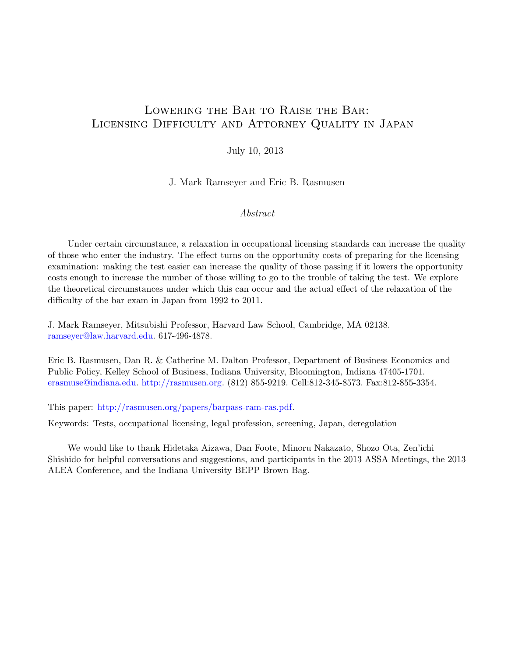# Lowering the Bar to Raise the Bar: Licensing Difficulty and Attorney Quality in Japan

### July 10, 2013

J. Mark Ramseyer and Eric B. Rasmusen

### Abstract

Under certain circumstance, a relaxation in occupational licensing standards can increase the quality of those who enter the industry. The effect turns on the opportunity costs of preparing for the licensing examination: making the test easier can increase the quality of those passing if it lowers the opportunity costs enough to increase the number of those willing to go to the trouble of taking the test. We explore the theoretical circumstances under which this can occur and the actual effect of the relaxation of the difficulty of the bar exam in Japan from 1992 to 2011.

J. Mark Ramseyer, Mitsubishi Professor, Harvard Law School, Cambridge, MA 02138. [ramseyer@law.harvard.edu.](mailto:ramseyer@law.harvard.edu) 617-496-4878.

Eric B. Rasmusen, Dan R. & Catherine M. Dalton Professor, Department of Business Economics and Public Policy, Kelley School of Business, Indiana University, Bloomington, Indiana 47405-1701. [erasmuse@indiana.edu.](mailto:erasmuse@indiana.edu) [http://rasmusen.org.](http://rasmusen.org) (812) 855-9219. Cell:812-345-8573. Fax:812-855-3354.

This paper: [http://rasmusen.org/papers/barpass-ram-ras.pdf.](http://rasmusen.org/papers/barpass-ram-ras.pdf)

Keywords: Tests, occupational licensing, legal profession, screening, Japan, deregulation

We would like to thank Hidetaka Aizawa, Dan Foote, Minoru Nakazato, Shozo Ota, Zen'ichi Shishido for helpful conversations and suggestions, and participants in the 2013 ASSA Meetings, the 2013 ALEA Conference, and the Indiana University BEPP Brown Bag.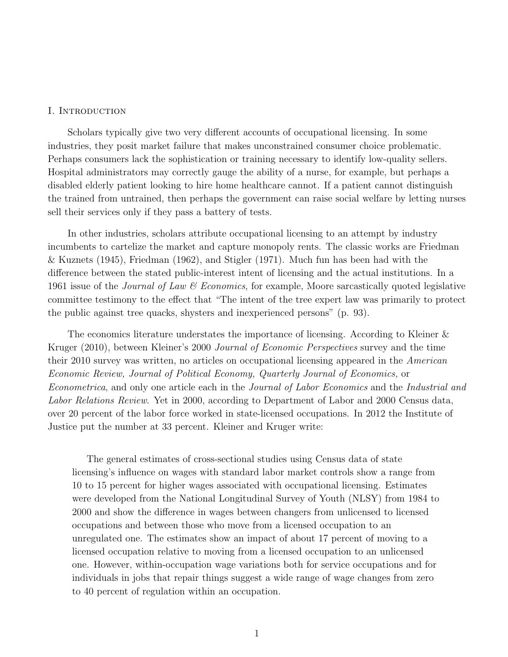#### I. Introduction

Scholars typically give two very different accounts of occupational licensing. In some industries, they posit market failure that makes unconstrained consumer choice problematic. Perhaps consumers lack the sophistication or training necessary to identify low-quality sellers. Hospital administrators may correctly gauge the ability of a nurse, for example, but perhaps a disabled elderly patient looking to hire home healthcare cannot. If a patient cannot distinguish the trained from untrained, then perhaps the government can raise social welfare by letting nurses sell their services only if they pass a battery of tests.

In other industries, scholars attribute occupational licensing to an attempt by industry incumbents to cartelize the market and capture monopoly rents. The classic works are Friedman & Kuznets (1945), Friedman (1962), and Stigler (1971). Much fun has been had with the difference between the stated public-interest intent of licensing and the actual institutions. In a 1961 issue of the *Journal of Law*  $\mathcal C$  *Economics*, for example, Moore sarcastically quoted legislative committee testimony to the effect that "The intent of the tree expert law was primarily to protect the public against tree quacks, shysters and inexperienced persons" (p. 93).

The economics literature understates the importance of licensing. According to Kleiner & Kruger (2010), between Kleiner's 2000 Journal of Economic Perspectives survey and the time their 2010 survey was written, no articles on occupational licensing appeared in the American Economic Review, Journal of Political Economy, Quarterly Journal of Economics, or Econometrica, and only one article each in the Journal of Labor Economics and the Industrial and Labor Relations Review. Yet in 2000, according to Department of Labor and 2000 Census data, over 20 percent of the labor force worked in state-licensed occupations. In 2012 the Institute of Justice put the number at 33 percent. Kleiner and Kruger write:

The general estimates of cross-sectional studies using Census data of state licensing's influence on wages with standard labor market controls show a range from 10 to 15 percent for higher wages associated with occupational licensing. Estimates were developed from the National Longitudinal Survey of Youth (NLSY) from 1984 to 2000 and show the difference in wages between changers from unlicensed to licensed occupations and between those who move from a licensed occupation to an unregulated one. The estimates show an impact of about 17 percent of moving to a licensed occupation relative to moving from a licensed occupation to an unlicensed one. However, within-occupation wage variations both for service occupations and for individuals in jobs that repair things suggest a wide range of wage changes from zero to 40 percent of regulation within an occupation.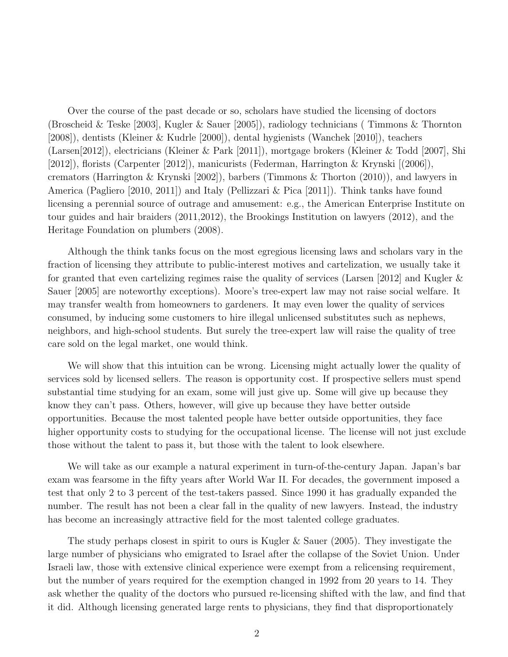Over the course of the past decade or so, scholars have studied the licensing of doctors (Broscheid & Teske [2003], Kugler & Sauer [2005]), radiology technicians ( Timmons & Thornton [2008]), dentists (Kleiner & Kudrle [2000]), dental hygienists (Wanchek [2010]), teachers (Larsen[2012]), electricians (Kleiner & Park [2011]), mortgage brokers (Kleiner & Todd [2007], Shi [2012]), florists (Carpenter [2012]), manicurists (Federman, Harrington & Krynski [(2006]), cremators (Harrington & Krynski [2002]), barbers (Timmons & Thorton (2010)), and lawyers in America (Pagliero [2010, 2011]) and Italy (Pellizzari & Pica [2011]). Think tanks have found licensing a perennial source of outrage and amusement: e.g., the American Enterprise Institute on tour guides and hair braiders (2011,2012), the Brookings Institution on lawyers (2012), and the Heritage Foundation on plumbers (2008).

Although the think tanks focus on the most egregious licensing laws and scholars vary in the fraction of licensing they attribute to public-interest motives and cartelization, we usually take it for granted that even cartelizing regimes raise the quality of services (Larsen [2012] and Kugler & Sauer [2005] are noteworthy exceptions). Moore's tree-expert law may not raise social welfare. It may transfer wealth from homeowners to gardeners. It may even lower the quality of services consumed, by inducing some customers to hire illegal unlicensed substitutes such as nephews, neighbors, and high-school students. But surely the tree-expert law will raise the quality of tree care sold on the legal market, one would think.

We will show that this intuition can be wrong. Licensing might actually lower the quality of services sold by licensed sellers. The reason is opportunity cost. If prospective sellers must spend substantial time studying for an exam, some will just give up. Some will give up because they know they can't pass. Others, however, will give up because they have better outside opportunities. Because the most talented people have better outside opportunities, they face higher opportunity costs to studying for the occupational license. The license will not just exclude those without the talent to pass it, but those with the talent to look elsewhere.

We will take as our example a natural experiment in turn-of-the-century Japan. Japan's bar exam was fearsome in the fifty years after World War II. For decades, the government imposed a test that only 2 to 3 percent of the test-takers passed. Since 1990 it has gradually expanded the number. The result has not been a clear fall in the quality of new lawyers. Instead, the industry has become an increasingly attractive field for the most talented college graduates.

The study perhaps closest in spirit to ours is Kugler & Sauer (2005). They investigate the large number of physicians who emigrated to Israel after the collapse of the Soviet Union. Under Israeli law, those with extensive clinical experience were exempt from a relicensing requirement, but the number of years required for the exemption changed in 1992 from 20 years to 14. They ask whether the quality of the doctors who pursued re-licensing shifted with the law, and find that it did. Although licensing generated large rents to physicians, they find that disproportionately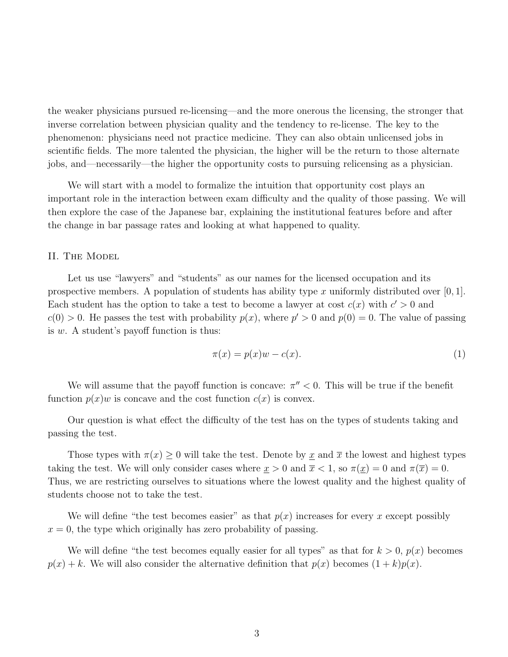the weaker physicians pursued re-licensing—and the more onerous the licensing, the stronger that inverse correlation between physician quality and the tendency to re-license. The key to the phenomenon: physicians need not practice medicine. They can also obtain unlicensed jobs in scientific fields. The more talented the physician, the higher will be the return to those alternate jobs, and—necessarily—the higher the opportunity costs to pursuing relicensing as a physician.

We will start with a model to formalize the intuition that opportunity cost plays an important role in the interaction between exam difficulty and the quality of those passing. We will then explore the case of the Japanese bar, explaining the institutional features before and after the change in bar passage rates and looking at what happened to quality.

### II. The Model

Let us use "lawyers" and "students" as our names for the licensed occupation and its prospective members. A population of students has ability type x uniformly distributed over  $[0, 1]$ . Each student has the option to take a test to become a lawyer at cost  $c(x)$  with  $c' > 0$  and  $c(0) > 0$ . He passes the test with probability  $p(x)$ , where  $p' > 0$  and  $p(0) = 0$ . The value of passing is  $w$ . A student's payoff function is thus:

$$
\pi(x) = p(x)w - c(x). \tag{1}
$$

We will assume that the payoff function is concave:  $\pi'' < 0$ . This will be true if the benefit function  $p(x)w$  is concave and the cost function  $c(x)$  is convex.

Our question is what effect the difficulty of the test has on the types of students taking and passing the test.

Those types with  $\pi(x) \geq 0$  will take the test. Denote by x and  $\bar{x}$  the lowest and highest types taking the test. We will only consider cases where  $x > 0$  and  $\overline{x} < 1$ , so  $\pi(\overline{x}) = 0$  and  $\pi(\overline{x}) = 0$ . Thus, we are restricting ourselves to situations where the lowest quality and the highest quality of students choose not to take the test.

We will define "the test becomes easier" as that  $p(x)$  increases for every x except possibly  $x = 0$ , the type which originally has zero probability of passing.

We will define "the test becomes equally easier for all types" as that for  $k > 0$ ,  $p(x)$  becomes  $p(x) + k$ . We will also consider the alternative definition that  $p(x)$  becomes  $(1 + k)p(x)$ .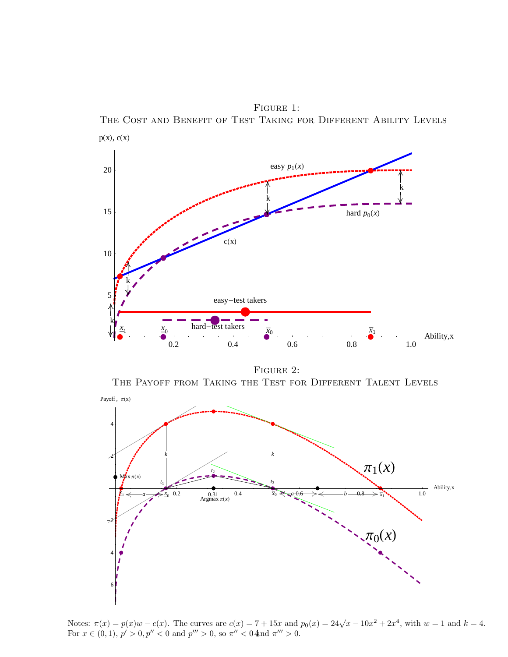Figure 1: The Cost and Benefit of Test Taking for Different Ability Levels



FIGURE 2:

THE PAYOFF FROM TAKING THE TEST FOR DIFFERENT TALENT LEVELS



Notes:  $\pi(x) = p(x)w - c(x)$ . The curves are  $c(x) = 7 + 15x$  and  $p_0(x) = 24\sqrt{x} - 10x^2 + 2x^4$ , with  $w = 1$  and  $k = 4$ . For  $x \in (0, 1)$ ,  $p' > 0$ ,  $p'' < 0$  and  $p''' > 0$ , so  $\pi'' < 0$  and  $\pi''' > 0$ .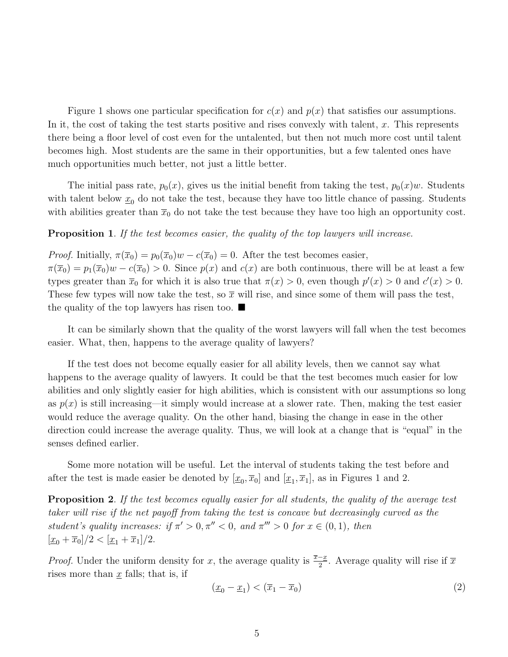Figure 1 shows one particular specification for  $c(x)$  and  $p(x)$  that satisfies our assumptions. In it, the cost of taking the test starts positive and rises convexly with talent,  $x$ . This represents there being a floor level of cost even for the untalented, but then not much more cost until talent becomes high. Most students are the same in their opportunities, but a few talented ones have much opportunities much better, not just a little better.

The initial pass rate,  $p_0(x)$ , gives us the initial benefit from taking the test,  $p_0(x)w$ . Students with talent below  $\underline{x}_0$  do not take the test, because they have too little chance of passing. Students with abilities greater than  $\bar{x}_0$  do not take the test because they have too high an opportunity cost.

**Proposition 1.** If the test becomes easier, the quality of the top lawyers will increase.

*Proof.* Initially,  $\pi(\overline{x}_0) = p_0(\overline{x}_0)w - c(\overline{x}_0) = 0$ . After the test becomes easier,  $\pi(\overline{x}_0) = p_1(\overline{x}_0)w - c(\overline{x}_0) > 0$ . Since  $p(x)$  and  $c(x)$  are both continuous, there will be at least a few types greater than  $\bar{x}_0$  for which it is also true that  $\pi(x) > 0$ , even though  $p'(x) > 0$  and  $c'(x) > 0$ . These few types will now take the test, so  $\bar{x}$  will rise, and since some of them will pass the test, the quality of the top lawyers has risen too.  $\blacksquare$ 

It can be similarly shown that the quality of the worst lawyers will fall when the test becomes easier. What, then, happens to the average quality of lawyers?

If the test does not become equally easier for all ability levels, then we cannot say what happens to the average quality of lawyers. It could be that the test becomes much easier for low abilities and only slightly easier for high abilities, which is consistent with our assumptions so long as  $p(x)$  is still increasing—it simply would increase at a slower rate. Then, making the test easier would reduce the average quality. On the other hand, biasing the change in ease in the other direction could increase the average quality. Thus, we will look at a change that is "equal" in the senses defined earlier.

Some more notation will be useful. Let the interval of students taking the test before and after the test is made easier be denoted by  $[\underline{x}_0, \overline{x}_0]$  and  $[\underline{x}_1, \overline{x}_1]$ , as in Figures 1 and 2.

**Proposition 2.** If the test becomes equally easier for all students, the quality of the average test taker will rise if the net payoff from taking the test is concave but decreasingly curved as the student's quality increases: if  $\pi' > 0$ ,  $\pi'' < 0$ , and  $\pi''' > 0$  for  $x \in (0,1)$ , then  $[\underline{x}_0 + \overline{x}_0]/2 < [\underline{x}_1 + \overline{x}_1]/2.$ 

*Proof.* Under the uniform density for x, the average quality is  $\frac{\overline{x}-x}{2}$ . Average quality will rise if  $\overline{x}$ rises more than  $x$  falls; that is, if

$$
(\underline{x}_0 - \underline{x}_1) < (\overline{x}_1 - \overline{x}_0) \tag{2}
$$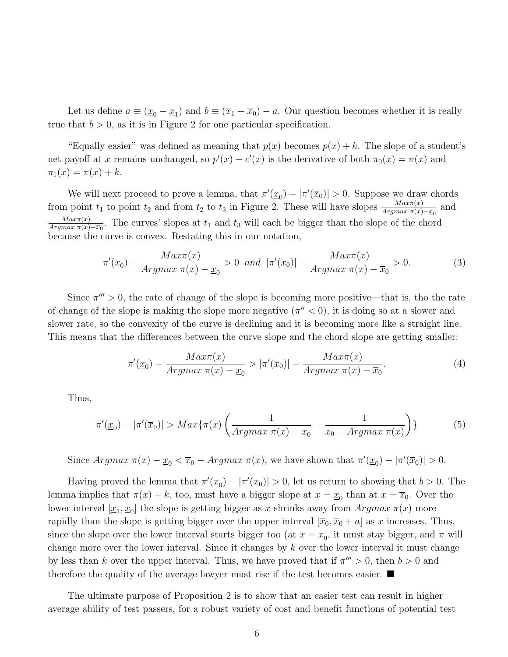Let us define  $a \equiv (\underline{x}_0 - \underline{x}_1)$  and  $b \equiv (\overline{x}_1 - \overline{x}_0) - a$ . Our question becomes whether it is really true that  $b > 0$ , as it is in Figure 2 for one particular specification.

"Equally easier" was defined as meaning that  $p(x)$  becomes  $p(x) + k$ . The slope of a student's net payoff at x remains unchanged, so  $p'(x) - c'(x)$  is the derivative of both  $\pi_0(x) = \pi(x)$  and  $\pi_1(x) = \pi(x) + k.$ 

We will next proceed to prove a lemma, that  $\pi'(\underline{x}_0) - |\pi'(\overline{x}_0)| > 0$ . Suppose we draw chords from point  $t_1$  to point  $t_2$  and from  $t_2$  to  $t_3$  in Figure 2. These will have slopes  $\frac{Max\pi(x)}{Argmax \pi(x)-x_0}$  and  $Max\pi(x)$  $\frac{Max\pi(x)}{Argmax \pi(x)-\overline{x_0}}$ . The curves' slopes at  $t_1$  and  $t_3$  will each be bigger than the slope of the chord because the curve is convex. Restating this in our notation,

$$
\pi'(\underline{x}_0) - \frac{Max\pi(x)}{Argmax \pi(x) - \underline{x}_0} > 0 \quad and \quad |\pi'(\overline{x}_0)| - \frac{Max\pi(x)}{Argmax \pi(x) - \overline{x}_0} > 0. \tag{3}
$$

Since  $\pi''' > 0$ , the rate of change of the slope is becoming more positive—that is, tho the rate of change of the slope is making the slope more negative  $(\pi'' < 0)$ , it is doing so at a slower and slower rate, so the convexity of the curve is declining and it is becoming more like a straight line. This means that the differences between the curve slope and the chord slope are getting smaller:

$$
\pi'(\underline{x}_0) - \frac{Max\pi(x)}{Argmax \pi(x) - \underline{x}_0} > |\pi'(\overline{x}_0)| - \frac{Max\pi(x)}{Argmax \pi(x) - \overline{x}_0}.\tag{4}
$$

Thus,

$$
\pi'(\underline{x}_0) - |\pi'(\overline{x}_0)| > Max\{\pi(x) \left( \frac{1}{Argmax \ \pi(x) - \underline{x}_0} - \frac{1}{\overline{x}_0 - Argmax \ \pi(x)} \right) \} \tag{5}
$$

Since  $Argmax \ \pi(x) - \underline{x}_0 < \overline{x}_0 - Argmax \ \pi(x)$ , we have shown that  $\pi'(\underline{x}_0) - |\pi'(\overline{x}_0)| > 0$ .

Having proved the lemma that  $\pi'(\underline{x}_0) - |\pi'(\overline{x}_0)| > 0$ , let us return to showing that  $b > 0$ . The lemma implies that  $\pi(x) + k$ , too, must have a bigger slope at  $x = \underline{x}_0$  than at  $x = \overline{x}_0$ . Over the lower interval  $[\underline{x}_1, \underline{x}_0]$  the slope is getting bigger as x shrinks away from  $Argmax \pi(x)$  more rapidly than the slope is getting bigger over the upper interval  $[\overline{x}_0, \overline{x}_0 + a]$  as x increases. Thus, since the slope over the lower interval starts bigger too (at  $x = \underline{x}_0$ , it must stay bigger, and  $\pi$  will change more over the lower interval. Since it changes by  $k$  over the lower interval it must change by less than k over the upper interval. Thus, we have proved that if  $\pi''' > 0$ , then  $b > 0$  and therefore the quality of the average lawyer must rise if the test becomes easier.  $\blacksquare$ 

The ultimate purpose of Proposition 2 is to show that an easier test can result in higher average ability of test passers, for a robust variety of cost and benefit functions of potential test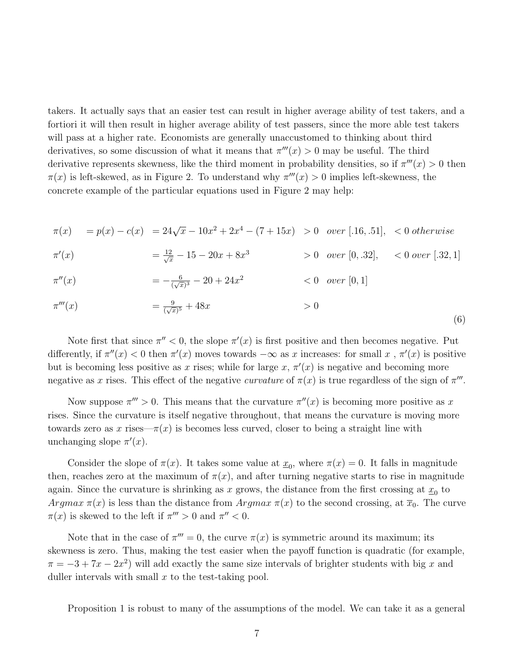takers. It actually says that an easier test can result in higher average ability of test takers, and a fortiori it will then result in higher average ability of test passers, since the more able test takers will pass at a higher rate. Economists are generally unaccustomed to thinking about third derivatives, so some discussion of what it means that  $\pi'''(x) > 0$  may be useful. The third derivative represents skewness, like the third moment in probability densities, so if  $\pi'''(x) > 0$  then  $\pi(x)$  is left-skewed, as in Figure 2. To understand why  $\pi'''(x) > 0$  implies left-skewness, the concrete example of the particular equations used in Figure 2 may help:

$$
\pi(x) = p(x) - c(x) = 24\sqrt{x} - 10x^2 + 2x^4 - (7 + 15x) > 0 \text{ over } [.16, .51], < 0 \text{ otherwise}
$$

$$
\pi'(x) = \frac{12}{\sqrt{x}} - 15 - 20x + 8x^3 > 0 \quad over \ [0, .32], 0 \ over \ [.32, 1]
$$

$$
\pi''(x) = -\frac{6}{(\sqrt{x})^3} - 20 + 24x^2 < 0 \quad over \ [0, 1]
$$

$$
\pi'''(x) = \frac{9}{(\sqrt{x})^5} + 48x > 0
$$
\n(6)

Note first that since  $\pi'' < 0$ , the slope  $\pi'(x)$  is first positive and then becomes negative. Put differently, if  $\pi''(x) < 0$  then  $\pi'(x)$  moves towards  $-\infty$  as x increases: for small x,  $\pi'(x)$  is positive but is becoming less positive as x rises; while for large  $x, \pi'(x)$  is negative and becoming more negative as x rises. This effect of the negative curvature of  $\pi(x)$  is true regardless of the sign of  $\pi'''$ .

Now suppose  $\pi''' > 0$ . This means that the curvature  $\pi''(x)$  is becoming more positive as x rises. Since the curvature is itself negative throughout, that means the curvature is moving more towards zero as x rises— $\pi(x)$  is becomes less curved, closer to being a straight line with unchanging slope  $\pi'(x)$ .

Consider the slope of  $\pi(x)$ . It takes some value at  $\underline{x}_0$ , where  $\pi(x) = 0$ . It falls in magnitude then, reaches zero at the maximum of  $\pi(x)$ , and after turning negative starts to rise in magnitude again. Since the curvature is shrinking as x grows, the distance from the first crossing at  $\underline{x}_0$  to Argmax  $\pi(x)$  is less than the distance from Argmax  $\pi(x)$  to the second crossing, at  $\overline{x}_0$ . The curve  $\pi(x)$  is skewed to the left if  $\pi''' > 0$  and  $\pi'' < 0$ .

Note that in the case of  $\pi''' = 0$ , the curve  $\pi(x)$  is symmetric around its maximum; its skewness is zero. Thus, making the test easier when the payoff function is quadratic (for example,  $\pi = -3 + 7x - 2x^2$  will add exactly the same size intervals of brighter students with big x and duller intervals with small  $x$  to the test-taking pool.

Proposition 1 is robust to many of the assumptions of the model. We can take it as a general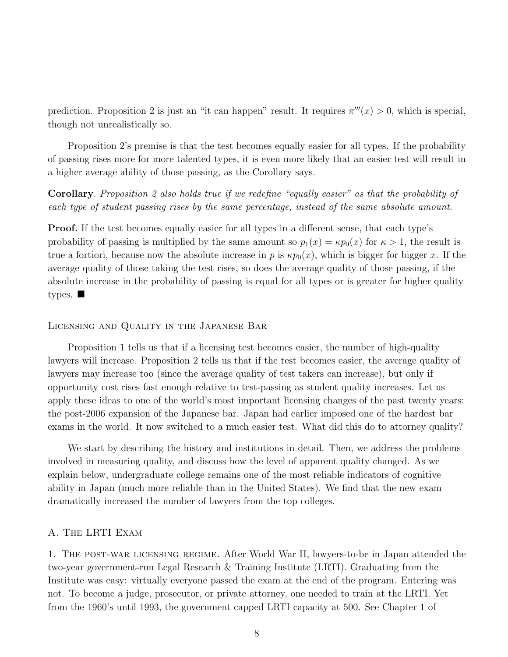prediction. Proposition 2 is just an "it can happen" result. It requires  $\pi'''(x) > 0$ , which is special, though not unrealistically so.

Proposition 2's premise is that the test becomes equally easier for all types. If the probability of passing rises more for more talented types, it is even more likely that an easier test will result in a higher average ability of those passing, as the Corollary says.

Corollary. Proposition 2 also holds true if we redefine "equally easier" as that the probability of each type of student passing rises by the same percentage, instead of the same absolute amount.

Proof. If the test becomes equally easier for all types in a different sense, that each type's probability of passing is multiplied by the same amount so  $p_1(x) = \kappa p_0(x)$  for  $\kappa > 1$ , the result is true a fortiori, because now the absolute increase in p is  $\kappa p_0(x)$ , which is bigger for bigger x. If the average quality of those taking the test rises, so does the average quality of those passing, if the absolute increase in the probability of passing is equal for all types or is greater for higher quality types.  $\blacksquare$ 

### Licensing and Quality in the Japanese Bar

Proposition 1 tells us that if a licensing test becomes easier, the number of high-quality lawyers will increase. Proposition 2 tells us that if the test becomes easier, the average quality of lawyers may increase too (since the average quality of test takers can increase), but only if opportunity cost rises fast enough relative to test-passing as student quality increases. Let us apply these ideas to one of the world's most important licensing changes of the past twenty years: the post-2006 expansion of the Japanese bar. Japan had earlier imposed one of the hardest bar exams in the world. It now switched to a much easier test. What did this do to attorney quality?

We start by describing the history and institutions in detail. Then, we address the problems involved in measuring quality, and discuss how the level of apparent quality changed. As we explain below, undergraduate college remains one of the most reliable indicators of cognitive ability in Japan (much more reliable than in the United States). We find that the new exam dramatically increased the number of lawyers from the top colleges.

### A. The LRTI Exam

1. The post-war licensing regime. After World War II, lawyers-to-be in Japan attended the two-year government-run Legal Research & Training Institute (LRTI). Graduating from the Institute was easy: virtually everyone passed the exam at the end of the program. Entering was not. To become a judge, prosecutor, or private attorney, one needed to train at the LRTI. Yet from the 1960's until 1993, the government capped LRTI capacity at 500. See Chapter 1 of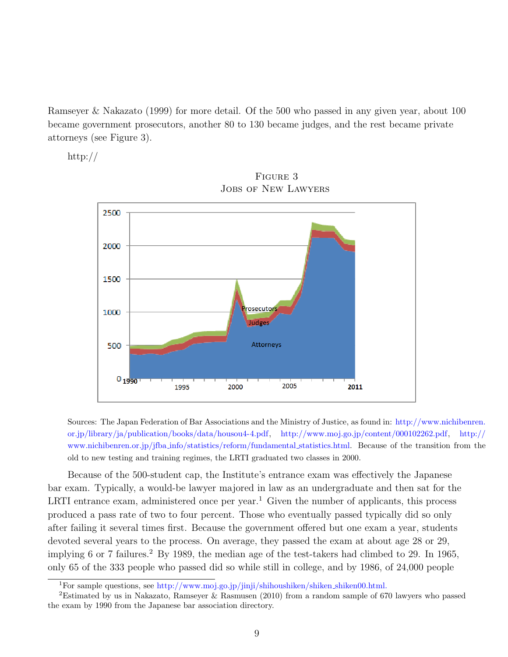Ramseyer & Nakazato (1999) for more detail. Of the 500 who passed in any given year, about 100 became government prosecutors, another 80 to 130 became judges, and the rest became private attorneys (see Figure 3).

http://



Figure 3 Jobs of New Lawyers

Sources: The Japan Federation of Bar Associations and the Ministry of Justice, as found in: [http://www.nichibenren.](http://www.nichibenren.or.jp/library/ja/publication/books/data/housou4-4.pdf) [or.jp/library/ja/publication/books/data/housou4-4.pdf,](http://www.nichibenren.or.jp/library/ja/publication/books/data/housou4-4.pdf) [http://www.moj.go.jp/content/000102262.pdf,]( http://www.moj.go.jp/content/000102262.pdf) [http://](http://www.nichibenren.or.jp/jfba_info/statistics/reform/fundamental_statistics.html) www.nichibenren.or.jp/jfba [info/statistics/reform/fundamental](http://www.nichibenren.or.jp/jfba_info/statistics/reform/fundamental_statistics.html) statistics.html. Because of the transition from the old to new testing and training regimes, the LRTI graduated two classes in 2000.

Because of the 500-student cap, the Institute's entrance exam was effectively the Japanese bar exam. Typically, a would-be lawyer majored in law as an undergraduate and then sat for the LRTI entrance exam, administered once per year.<sup>[1](#page-9-0)</sup> Given the number of applicants, this process produced a pass rate of two to four percent. Those who eventually passed typically did so only after failing it several times first. Because the government offered but one exam a year, students devoted several years to the process. On average, they passed the exam at about age 28 or 29, implying 6 or 7 failures.<sup>[2](#page-9-1)</sup> By 1989, the median age of the test-takers had climbed to 29. In 1965, only 65 of the 333 people who passed did so while still in college, and by 1986, of 24,000 people

<span id="page-9-1"></span><span id="page-9-0"></span><sup>&</sup>lt;sup>1</sup>For sample questions, see [http://www.moj.go.jp/jinji/shihoushiken/shiken](http://www.moj.go.jp/jinji/shihoushiken/shiken_shiken00.html.)\_shiken00.html.

<sup>2</sup>Estimated by us in Nakazato, Ramseyer & Rasmusen (2010) from a random sample of 670 lawyers who passed the exam by 1990 from the Japanese bar association directory.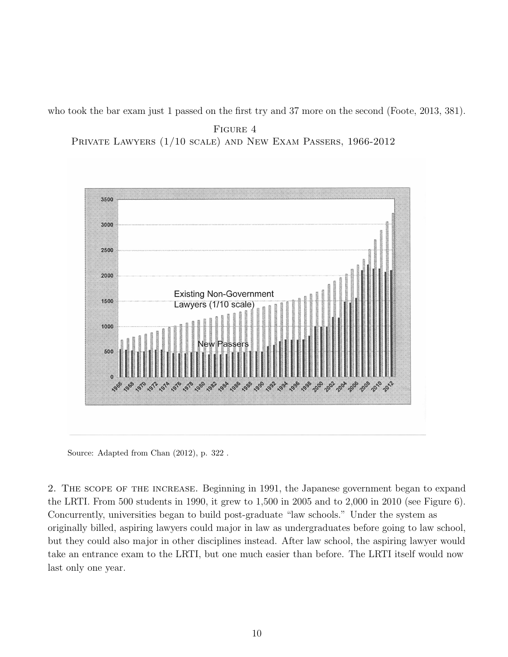who took the bar exam just 1 passed on the first try and 37 more on the second (Foote, 2013, 381).

Figure 4 Private Lawyers (1/10 scale) and New Exam Passers, 1966-2012



Source: Adapted from Chan (2012), p. 322 .

2. The scope of the increase. Beginning in 1991, the Japanese government began to expand the LRTI. From 500 students in 1990, it grew to 1,500 in 2005 and to 2,000 in 2010 (see Figure 6). Concurrently, universities began to build post-graduate "law schools." Under the system as originally billed, aspiring lawyers could major in law as undergraduates before going to law school, but they could also major in other disciplines instead. After law school, the aspiring lawyer would take an entrance exam to the LRTI, but one much easier than before. The LRTI itself would now last only one year.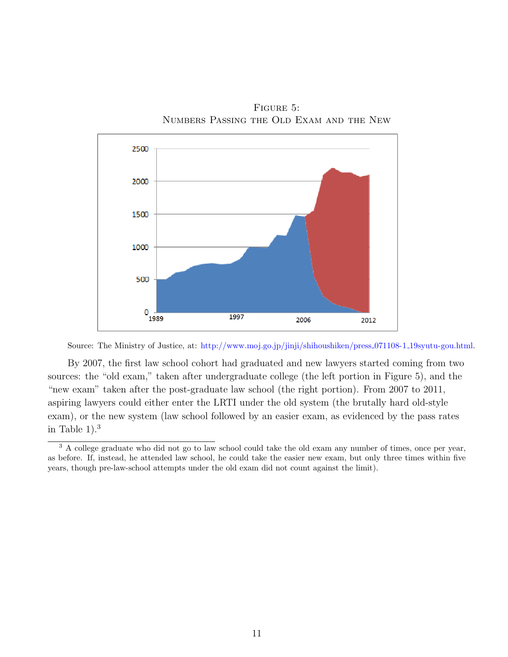

Figure 5: Numbers Passing the Old Exam and the New

Source: The Ministry of Justice, at: [http://www.moj.go.jp/jinji/shihoushiken/press](http://www.moj.go.jp/jinji/shihoushiken/press_071108-1_19syutu-gou.html) 071108-1 19syutu-gou.html.

By 2007, the first law school cohort had graduated and new lawyers started coming from two sources: the "old exam," taken after undergraduate college (the left portion in Figure 5), and the "new exam" taken after the post-graduate law school (the right portion). From 2007 to 2011, aspiring lawyers could either enter the LRTI under the old system (the brutally hard old-style exam), or the new system (law school followed by an easier exam, as evidenced by the pass rates in Table  $1$ ).<sup>[3](#page-11-0)</sup>

<span id="page-11-0"></span><sup>&</sup>lt;sup>3</sup> A college graduate who did not go to law school could take the old exam any number of times, once per year, as before. If, instead, he attended law school, he could take the easier new exam, but only three times within five years, though pre-law-school attempts under the old exam did not count against the limit).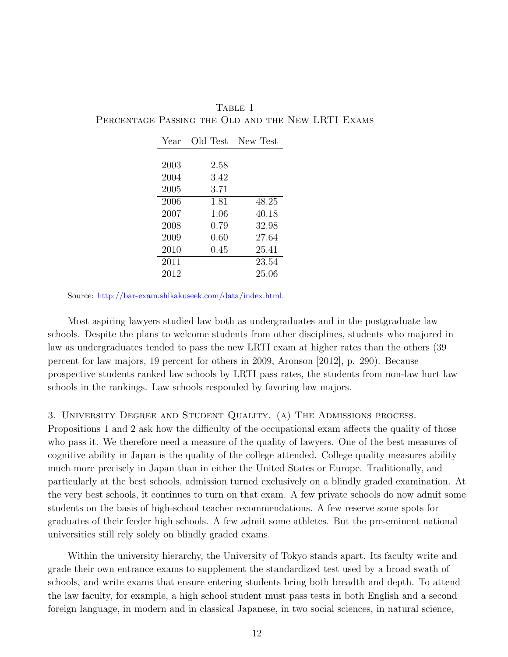| Year | Old Test | New Test |
|------|----------|----------|
|      |          |          |
| 2003 | 2.58     |          |
| 2004 | 3.42     |          |
| 2005 | 3.71     |          |
| 2006 | 1.81     | 48.25    |
| 2007 | 1.06     | 40.18    |
| 2008 | 0.79     | 32.98    |
| 2009 | 0.60     | 27.64    |
| 2010 | 0.45     | 25.41    |
| 2011 |          | 23.54    |
| 2012 |          | 25.06    |

Table 1 PERCENTAGE PASSING THE OLD AND THE NEW LRTI EXAMS

Source: [http://bar-exam.shikakuseek.com/data/index.html.](http://bar-exam.shikakuseek.com/data/index.html)

Most aspiring lawyers studied law both as undergraduates and in the postgraduate law schools. Despite the plans to welcome students from other disciplines, students who majored in law as undergraduates tended to pass the new LRTI exam at higher rates than the others (39 percent for law majors, 19 percent for others in 2009, Aronson [2012], p. 290). Because prospective students ranked law schools by LRTI pass rates, the students from non-law hurt law schools in the rankings. Law schools responded by favoring law majors.

### 3. University Degree and Student Quality. (a) The Admissions process.

Propositions 1 and 2 ask how the difficulty of the occupational exam affects the quality of those who pass it. We therefore need a measure of the quality of lawyers. One of the best measures of cognitive ability in Japan is the quality of the college attended. College quality measures ability much more precisely in Japan than in either the United States or Europe. Traditionally, and particularly at the best schools, admission turned exclusively on a blindly graded examination. At the very best schools, it continues to turn on that exam. A few private schools do now admit some students on the basis of high-school teacher recommendations. A few reserve some spots for graduates of their feeder high schools. A few admit some athletes. But the pre-eminent national universities still rely solely on blindly graded exams.

Within the university hierarchy, the University of Tokyo stands apart. Its faculty write and grade their own entrance exams to supplement the standardized test used by a broad swath of schools, and write exams that ensure entering students bring both breadth and depth. To attend the law faculty, for example, a high school student must pass tests in both English and a second foreign language, in modern and in classical Japanese, in two social sciences, in natural science,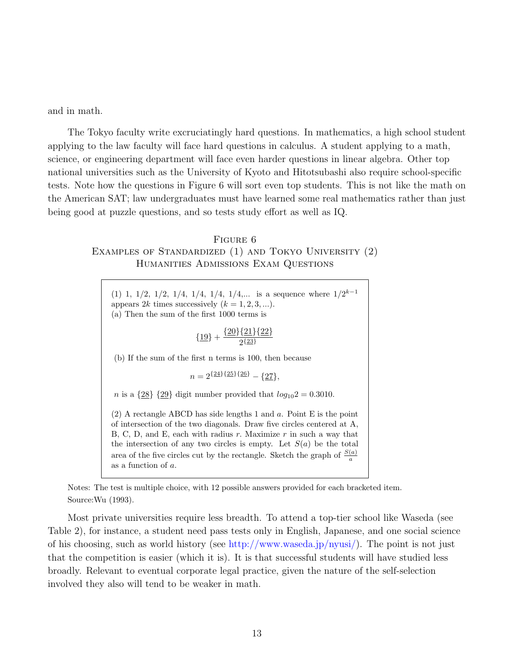and in math.

The Tokyo faculty write excruciatingly hard questions. In mathematics, a high school student applying to the law faculty will face hard questions in calculus. A student applying to a math, science, or engineering department will face even harder questions in linear algebra. Other top national universities such as the University of Kyoto and Hitotsubashi also require school-specific tests. Note how the questions in Figure 6 will sort even top students. This is not like the math on the American SAT; law undergraduates must have learned some real mathematics rather than just being good at puzzle questions, and so tests study effort as well as IQ.

## Figure 6 Examples of Standardized (1) and Tokyo University (2) Humanities Admissions Exam Questions

(1) 1, 1/2, 1/2, 1/4, 1/4, 1/4, 1/4,... is a sequence where  $1/2^{k-1}$ appears 2k times successively  $(k = 1, 2, 3, \ldots)$ . (a) Then the sum of the first 1000 terms is

$$
{19} + \frac{{20}{21}{22}}{242}
$$

(b) If the sum of the first n terms is 100, then because

$$
n = 2^{\{24\}\{25\}\{26\}} - \{27\},
$$

*n* is a  $\{28\}$   $\{29\}$  digit number provided that  $log_{10}2 = 0.3010$ .

 $(2)$  A rectangle ABCD has side lengths 1 and  $a$ . Point E is the point of intersection of the two diagonals. Draw five circles centered at A, B, C, D, and E, each with radius  $r$ . Maximize  $r$  in such a way that the intersection of any two circles is empty. Let  $S(a)$  be the total area of the five circles cut by the rectangle. Sketch the graph of  $\frac{S(a)}{a}$ as a function of a.

Notes: The test is multiple choice, with 12 possible answers provided for each bracketed item. Source:Wu (1993).

Most private universities require less breadth. To attend a top-tier school like Waseda (see Table 2), for instance, a student need pass tests only in English, Japanese, and one social science of his choosing, such as world history (see [http://www.waseda.jp/nyusi/\)](http://www.waseda.jp/nyusi/). The point is not just that the competition is easier (which it is). It is that successful students will have studied less broadly. Relevant to eventual corporate legal practice, given the nature of the self-selection involved they also will tend to be weaker in math.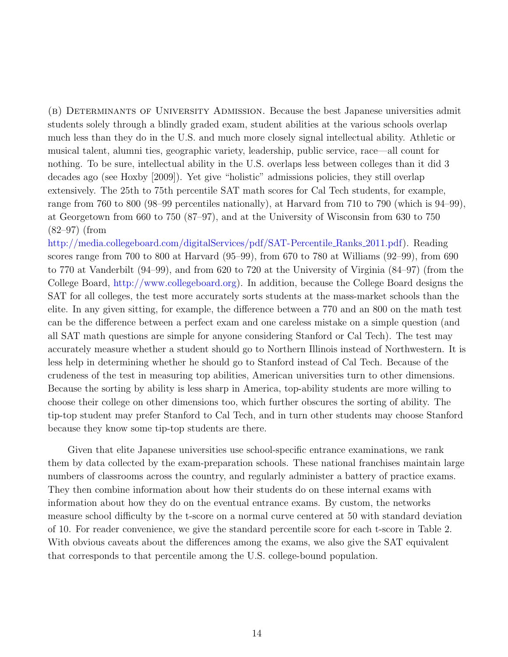(b) Determinants of University Admission. Because the best Japanese universities admit students solely through a blindly graded exam, student abilities at the various schools overlap much less than they do in the U.S. and much more closely signal intellectual ability. Athletic or musical talent, alumni ties, geographic variety, leadership, public service, race—all count for nothing. To be sure, intellectual ability in the U.S. overlaps less between colleges than it did 3 decades ago (see Hoxby [2009]). Yet give "holistic" admissions policies, they still overlap extensively. The 25th to 75th percentile SAT math scores for Cal Tech students, for example, range from 760 to 800 (98–99 percentiles nationally), at Harvard from 710 to 790 (which is 94–99), at Georgetown from 660 to 750 (87–97), and at the University of Wisconsin from 630 to 750 (82–97) (from

[http://media.collegeboard.com/digitalServices/pdf/SAT-Percentile]( http://media.collegeboard.com/digitalServices/pdf/SAT-Percentile_Ranks_2011.pdf) Ranks 2011.pdf). Reading scores range from 700 to 800 at Harvard (95–99), from 670 to 780 at Williams (92–99), from 690 to 770 at Vanderbilt (94–99), and from 620 to 720 at the University of Virginia (84–97) (from the College Board, [http://www.collegeboard.org\)](http://www.collegeboard.org). In addition, because the College Board designs the SAT for all colleges, the test more accurately sorts students at the mass-market schools than the elite. In any given sitting, for example, the difference between a 770 and an 800 on the math test can be the difference between a perfect exam and one careless mistake on a simple question (and all SAT math questions are simple for anyone considering Stanford or Cal Tech). The test may accurately measure whether a student should go to Northern Illinois instead of Northwestern. It is less help in determining whether he should go to Stanford instead of Cal Tech. Because of the crudeness of the test in measuring top abilities, American universities turn to other dimensions. Because the sorting by ability is less sharp in America, top-ability students are more willing to choose their college on other dimensions too, which further obscures the sorting of ability. The tip-top student may prefer Stanford to Cal Tech, and in turn other students may choose Stanford because they know some tip-top students are there.

Given that elite Japanese universities use school-specific entrance examinations, we rank them by data collected by the exam-preparation schools. These national franchises maintain large numbers of classrooms across the country, and regularly administer a battery of practice exams. They then combine information about how their students do on these internal exams with information about how they do on the eventual entrance exams. By custom, the networks measure school difficulty by the t-score on a normal curve centered at 50 with standard deviation of 10. For reader convenience, we give the standard percentile score for each t-score in Table 2. With obvious caveats about the differences among the exams, we also give the SAT equivalent that corresponds to that percentile among the U.S. college-bound population.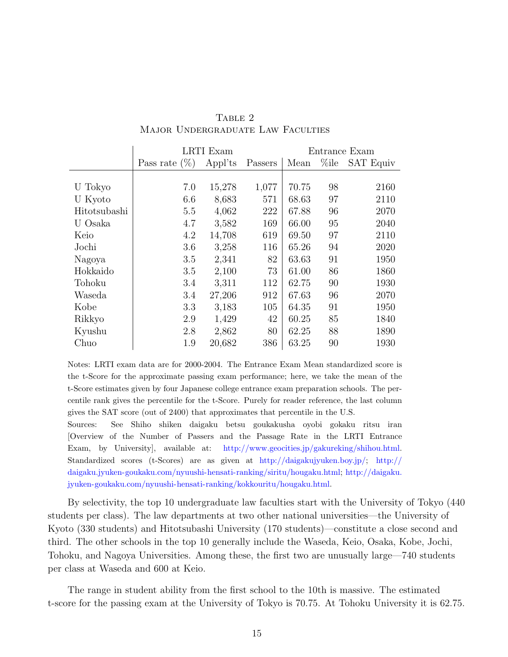|              | LRTI Exam        |         |         | Entrance Exam |          |                  |  |
|--------------|------------------|---------|---------|---------------|----------|------------------|--|
|              | Pass rate $(\%)$ | Appl'ts | Passers | Mean          | $\%$ ile | <b>SAT Equiv</b> |  |
|              |                  |         |         |               |          |                  |  |
| U Tokyo      | 7.0              | 15,278  | 1,077   | 70.75         | 98       | 2160             |  |
| U Kyoto      | 6.6              | 8,683   | 571     | 68.63         | 97       | 2110             |  |
| Hitotsubashi | 5.5              | 4,062   | 222     | 67.88         | 96       | 2070             |  |
| U Osaka      | 4.7              | 3,582   | 169     | 66.00         | 95       | 2040             |  |
| Keio         | 4.2              | 14,708  | 619     | 69.50         | 97       | 2110             |  |
| Jochi        | 3.6              | 3,258   | 116     | 65.26         | 94       | 2020             |  |
| Nagoya       | 3.5              | 2,341   | 82      | 63.63         | 91       | 1950             |  |
| Hokkaido     | $3.5\,$          | 2,100   | 73      | 61.00         | 86       | 1860             |  |
| Tohoku       | 3.4              | 3,311   | 112     | 62.75         | 90       | 1930             |  |
| Waseda       | 3.4              | 27,206  | 912     | 67.63         | 96       | 2070             |  |
| Kobe         | 3.3              | 3,183   | 105     | 64.35         | 91       | 1950             |  |
| Rikkyo       | 2.9              | 1,429   | 42      | 60.25         | 85       | 1840             |  |
| Kyushu       | 2.8              | 2,862   | 80      | 62.25         | 88       | 1890             |  |
| Chuo         | 1.9              | 20,682  | 386     | 63.25         | 90       | 1930             |  |

# TABLE 2 Major Undergraduate Law Faculties

Notes: LRTI exam data are for 2000-2004. The Entrance Exam Mean standardized score is the t-Score for the approximate passing exam performance; here, we take the mean of the t-Score estimates given by four Japanese college entrance exam preparation schools. The percentile rank gives the percentile for the t-Score. Purely for reader reference, the last column gives the SAT score (out of 2400) that approximates that percentile in the U.S.

Sources: See Shiho shiken daigaku betsu goukakusha oyobi gokaku ritsu iran [Overview of the Number of Passers and the Passage Rate in the LRTI Entrance Exam, by University], available at: [http://www.geocities.jp/gakureking/shihou.html.](http://www.geocities.jp/gakureking/shihou.html) Standardized scores (t-Scores) are as given at [http://daigakujyuken.boy.jp/;]( http://daigakujyuken.boy.jp/) [http://](http://daigaku.jyuken-goukaku.com/nyuushi-hensati-ranking/siritu/hougaku.html) [daigaku.jyuken-goukaku.com/nyuushi-hensati-ranking/siritu/hougaku.html;](http://daigaku.jyuken-goukaku.com/nyuushi-hensati-ranking/siritu/hougaku.html) [http://daigaku.]( http://daigaku.jyuken-goukaku.com/nyuushi-hensati-ranking/kokkouritu/hougaku.html) [jyuken-goukaku.com/nyuushi-hensati-ranking/kokkouritu/hougaku.html.]( http://daigaku.jyuken-goukaku.com/nyuushi-hensati-ranking/kokkouritu/hougaku.html)

By selectivity, the top 10 undergraduate law faculties start with the University of Tokyo (440 students per class). The law departments at two other national universities—the University of Kyoto (330 students) and Hitotsubashi University (170 students)—constitute a close second and third. The other schools in the top 10 generally include the Waseda, Keio, Osaka, Kobe, Jochi, Tohoku, and Nagoya Universities. Among these, the first two are unusually large—740 students per class at Waseda and 600 at Keio.

The range in student ability from the first school to the 10th is massive. The estimated t-score for the passing exam at the University of Tokyo is 70.75. At Tohoku University it is 62.75.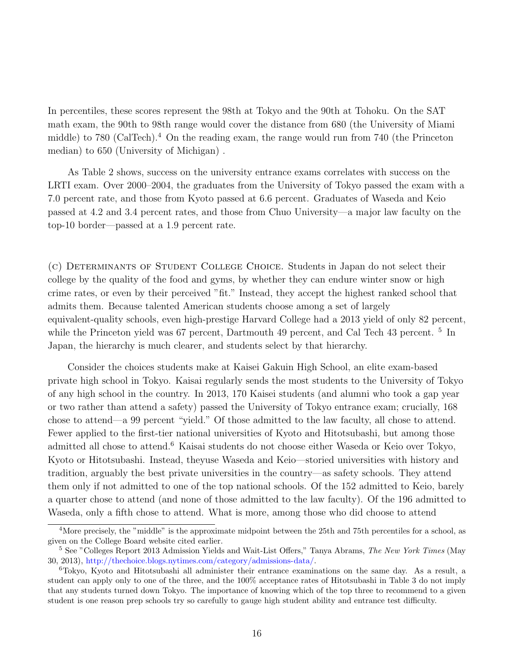In percentiles, these scores represent the 98th at Tokyo and the 90th at Tohoku. On the SAT math exam, the 90th to 98th range would cover the distance from 680 (the University of Miami middle) to 780 (CalTech).[4](#page-16-0) On the reading exam, the range would run from 740 (the Princeton median) to 650 (University of Michigan) .

As Table 2 shows, success on the university entrance exams correlates with success on the LRTI exam. Over 2000–2004, the graduates from the University of Tokyo passed the exam with a 7.0 percent rate, and those from Kyoto passed at 6.6 percent. Graduates of Waseda and Keio passed at 4.2 and 3.4 percent rates, and those from Chuo University—a major law faculty on the top-10 border—passed at a 1.9 percent rate.

(c) Determinants of Student College Choice. Students in Japan do not select their college by the quality of the food and gyms, by whether they can endure winter snow or high crime rates, or even by their perceived "fit." Instead, they accept the highest ranked school that admits them. Because talented American students choose among a set of largely equivalent-quality schools, even high-prestige Harvard College had a 2013 yield of only 82 percent, while the Princeton yield was 67 percent, Dartmouth 49 percent, and Cal Tech 43 percent.<sup>[5](#page-16-1)</sup> In Japan, the hierarchy is much clearer, and students select by that hierarchy.

Consider the choices students make at Kaisei Gakuin High School, an elite exam-based private high school in Tokyo. Kaisai regularly sends the most students to the University of Tokyo of any high school in the country. In 2013, 170 Kaisei students (and alumni who took a gap year or two rather than attend a safety) passed the University of Tokyo entrance exam; crucially, 168 chose to attend—a 99 percent "yield." Of those admitted to the law faculty, all chose to attend. Fewer applied to the first-tier national universities of Kyoto and Hitotsubashi, but among those admitted all chose to attend.<sup>[6](#page-16-2)</sup> Kaisai students do not choose either Waseda or Keio over Tokyo, Kyoto or Hitotsubashi. Instead, theyuse Waseda and Keio—storied universities with history and tradition, arguably the best private universities in the country—as safety schools. They attend them only if not admitted to one of the top national schools. Of the 152 admitted to Keio, barely a quarter chose to attend (and none of those admitted to the law faculty). Of the 196 admitted to Waseda, only a fifth chose to attend. What is more, among those who did choose to attend

<span id="page-16-0"></span><sup>&</sup>lt;sup>4</sup>More precisely, the "middle" is the approximate midpoint between the 25th and 75th percentiles for a school, as given on the College Board website cited earlier.

<span id="page-16-1"></span><sup>&</sup>lt;sup>5</sup> See "Colleges Report 2013 Admission Yields and Wait-List Offers," Tanya Abrams, The New York Times (May 30, 2013), [http://thechoice.blogs.nytimes.com/category/admissions-data/.]( http://thechoice.blogs.nytimes.com/category/admissions-data/)

<span id="page-16-2"></span><sup>6</sup>Tokyo, Kyoto and Hitotsubashi all administer their entrance examinations on the same day. As a result, a student can apply only to one of the three, and the 100% acceptance rates of Hitotsubashi in Table 3 do not imply that any students turned down Tokyo. The importance of knowing which of the top three to recommend to a given student is one reason prep schools try so carefully to gauge high student ability and entrance test difficulty.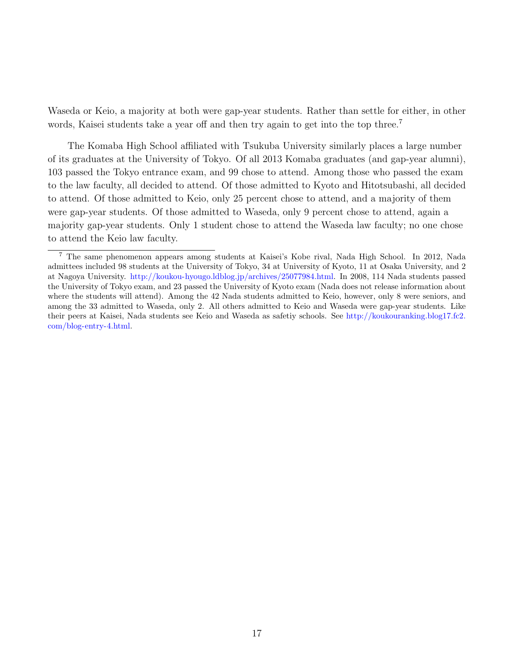Waseda or Keio, a majority at both were gap-year students. Rather than settle for either, in other words, Kaisei students take a year off and then try again to get into the top three.<sup>[7](#page-17-0)</sup>

The Komaba High School affiliated with Tsukuba University similarly places a large number of its graduates at the University of Tokyo. Of all 2013 Komaba graduates (and gap-year alumni), 103 passed the Tokyo entrance exam, and 99 chose to attend. Among those who passed the exam to the law faculty, all decided to attend. Of those admitted to Kyoto and Hitotsubashi, all decided to attend. Of those admitted to Keio, only 25 percent chose to attend, and a majority of them were gap-year students. Of those admitted to Waseda, only 9 percent chose to attend, again a majority gap-year students. Only 1 student chose to attend the Waseda law faculty; no one chose to attend the Keio law faculty.

<span id="page-17-0"></span><sup>7</sup> The same phenomenon appears among students at Kaisei's Kobe rival, Nada High School. In 2012, Nada admittees included 98 students at the University of Tokyo, 34 at University of Kyoto, 11 at Osaka University, and 2 at Nagoya University. [http://koukou-hyougo.ldblog.jp/archives/25077984.html.](http://koukou-hyougo.ldblog.jp/archives/25077984.html) In 2008, 114 Nada students passed the University of Tokyo exam, and 23 passed the University of Kyoto exam (Nada does not release information about where the students will attend). Among the 42 Nada students admitted to Keio, however, only 8 were seniors, and among the 33 admitted to Waseda, only 2. All others admitted to Keio and Waseda were gap-year students. Like their peers at Kaisei, Nada students see Keio and Waseda as safetiy schools. See [http://koukouranking.blog17.fc2.]( http://koukouranking.blog17.fc2.com/blog-entry-4.html) [com/blog-entry-4.html.]( http://koukouranking.blog17.fc2.com/blog-entry-4.html)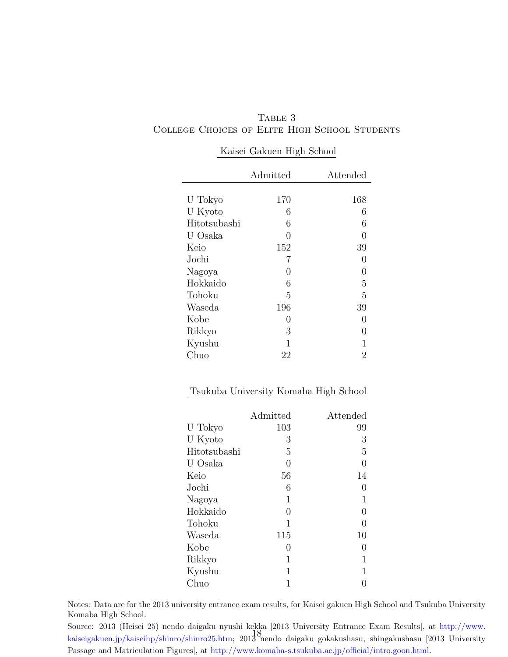${\bf Table~3}$ College Choices of Elite High School Students

|              | Admitted         | Attended         |
|--------------|------------------|------------------|
|              |                  |                  |
| U Tokyo      | 170              | 168              |
| U Kyoto      | 6                | 6                |
| Hitotsubashi | 6                | 6                |
| U Osaka      | ∩                | 0                |
| Keio         | 152              | 39               |
| Jochi        | 7                | $\left( \right)$ |
| Nagoya       | $\left( \right)$ | 0                |
| Hokkaido     | 6                | 5                |
| Tohoku       | 5                | 5                |
| Waseda       | 196              | 39               |
| Kobe         | $\left( \right)$ | $\mathcal{O}$    |
| Rikkyo       | 3                | $\mathcal{O}$    |
| Kyushu       | 1                | 1                |
| Chuo         | 22               | 2                |

### Kaisei Gakuen High School

### Tsukuba University Komaba High School

|              | Admitted         | Attended         |
|--------------|------------------|------------------|
| U Tokyo      | 103              | 99               |
| U Kyoto      | 3                | 3                |
| Hitotsubashi | 5                | 5                |
| U Osaka      | 0                | 0                |
| Keio         | 56               | 14               |
| Jochi        | 6                | $\left( \right)$ |
| Nagoya       | 1                | 1                |
| Hokkaido     | 0                | 0                |
| Tohoku       | 1                | 0                |
| Waseda       | 115              | 10               |
| Kobe         | $\left( \right)$ | $\left( \right)$ |
| Rikkyo       | 1                | 1                |
| Kyushu       | 1                | 1                |
| Chuo         |                  |                  |

Notes: Data are for the 2013 university entrance exam results, for Kaisei gakuen High School and Tsukuba University Komaba High School.

Source: 2013 (Heisei 25) nendo daigaku nyushi kekka [2013 University Entrance Exam Results], at [http://www.](http://www.kaiseigakuen.jp/kaiseihp/shinro/shinro25.htm) [kaiseigakuen.jp/kaiseihp/shinro/shinro25.htm;](http://www.kaiseigakuen.jp/kaiseihp/shinro/shinro25.htm) 2013 nendo daigaku gokakushasu, shingakushasu [2013 University 18Passage and Matriculation Figures], at [http://www.komaba-s.tsukuba.ac.jp/official/intro.goon.html.](http://www.komaba-s.tsukuba.ac.jp/official/intro.goon.html)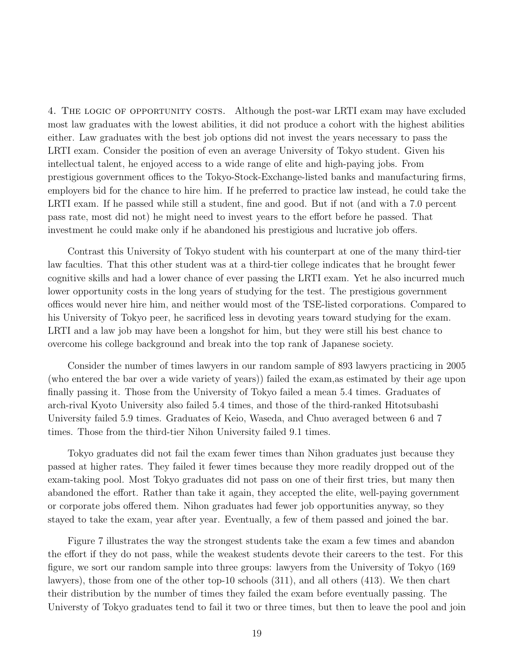4. THE LOGIC OF OPPORTUNITY COSTS. Although the post-war LRTI exam may have excluded most law graduates with the lowest abilities, it did not produce a cohort with the highest abilities either. Law graduates with the best job options did not invest the years necessary to pass the LRTI exam. Consider the position of even an average University of Tokyo student. Given his intellectual talent, he enjoyed access to a wide range of elite and high-paying jobs. From prestigious government offices to the Tokyo-Stock-Exchange-listed banks and manufacturing firms, employers bid for the chance to hire him. If he preferred to practice law instead, he could take the LRTI exam. If he passed while still a student, fine and good. But if not (and with a 7.0 percent pass rate, most did not) he might need to invest years to the effort before he passed. That investment he could make only if he abandoned his prestigious and lucrative job offers.

Contrast this University of Tokyo student with his counterpart at one of the many third-tier law faculties. That this other student was at a third-tier college indicates that he brought fewer cognitive skills and had a lower chance of ever passing the LRTI exam. Yet he also incurred much lower opportunity costs in the long years of studying for the test. The prestigious government offices would never hire him, and neither would most of the TSE-listed corporations. Compared to his University of Tokyo peer, he sacrificed less in devoting years toward studying for the exam. LRTI and a law job may have been a longshot for him, but they were still his best chance to overcome his college background and break into the top rank of Japanese society.

Consider the number of times lawyers in our random sample of 893 lawyers practicing in 2005 (who entered the bar over a wide variety of years)) failed the exam,as estimated by their age upon finally passing it. Those from the University of Tokyo failed a mean 5.4 times. Graduates of arch-rival Kyoto University also failed 5.4 times, and those of the third-ranked Hitotsubashi University failed 5.9 times. Graduates of Keio, Waseda, and Chuo averaged between 6 and 7 times. Those from the third-tier Nihon University failed 9.1 times.

Tokyo graduates did not fail the exam fewer times than Nihon graduates just because they passed at higher rates. They failed it fewer times because they more readily dropped out of the exam-taking pool. Most Tokyo graduates did not pass on one of their first tries, but many then abandoned the effort. Rather than take it again, they accepted the elite, well-paying government or corporate jobs offered them. Nihon graduates had fewer job opportunities anyway, so they stayed to take the exam, year after year. Eventually, a few of them passed and joined the bar.

Figure 7 illustrates the way the strongest students take the exam a few times and abandon the effort if they do not pass, while the weakest students devote their careers to the test. For this figure, we sort our random sample into three groups: lawyers from the University of Tokyo (169 lawyers), those from one of the other top-10 schools (311), and all others (413). We then chart their distribution by the number of times they failed the exam before eventually passing. The Universty of Tokyo graduates tend to fail it two or three times, but then to leave the pool and join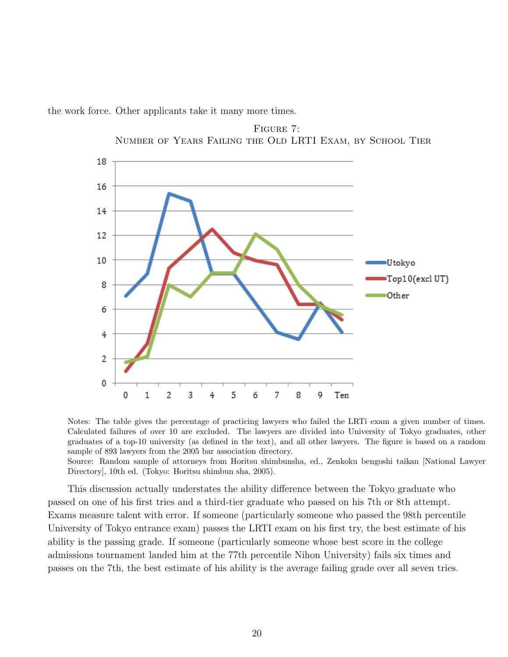the work force. Other applicants take it many more times.





Notes: The table gives the percentage of practicing lawyers who failed the LRTi exam a given number of times. Calculated failures of over 10 are excluded. The lawyers are divided into University of Tokyo graduates, other graduates of a top-10 university (as defined in the text), and all other lawyers. The figure is based on a random sample of 893 lawyers from the 2005 bar association directory.

Source: Random sample of attorneys from Horitsu shimbunsha, ed., Zenkoku bengoshi taikan [National Lawyer Directory], 10th ed. (Tokyo: Horitsu shimbun sha, 2005).

This discussion actually understates the ability difference between the Tokyo graduate who passed on one of his first tries and a third-tier graduate who passed on his 7th or 8th attempt. Exams measure talent with error. If someone (particularly someone who passed the 98th percentile University of Tokyo entrance exam) passes the LRTI exam on his first try, the best estimate of his ability is the passing grade. If someone (particularly someone whose best score in the college admissions tournament landed him at the 77th percentile Nihon University) fails six times and passes on the 7th, the best estimate of his ability is the average failing grade over all seven tries.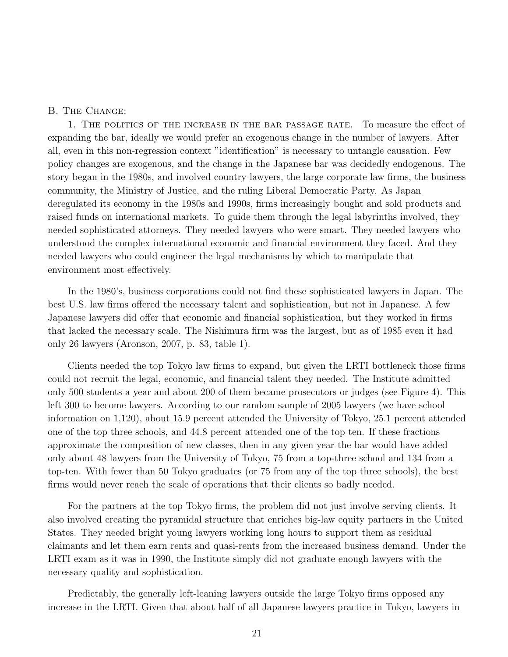### B. The Change:

1. The politics of the increase in the bar passage rate. To measure the effect of expanding the bar, ideally we would prefer an exogenous change in the number of lawyers. After all, even in this non-regression context "identification" is necessary to untangle causation. Few policy changes are exogenous, and the change in the Japanese bar was decidedly endogenous. The story began in the 1980s, and involved country lawyers, the large corporate law firms, the business community, the Ministry of Justice, and the ruling Liberal Democratic Party. As Japan deregulated its economy in the 1980s and 1990s, firms increasingly bought and sold products and raised funds on international markets. To guide them through the legal labyrinths involved, they needed sophisticated attorneys. They needed lawyers who were smart. They needed lawyers who understood the complex international economic and financial environment they faced. And they needed lawyers who could engineer the legal mechanisms by which to manipulate that environment most effectively.

In the 1980's, business corporations could not find these sophisticated lawyers in Japan. The best U.S. law firms offered the necessary talent and sophistication, but not in Japanese. A few Japanese lawyers did offer that economic and financial sophistication, but they worked in firms that lacked the necessary scale. The Nishimura firm was the largest, but as of 1985 even it had only 26 lawyers (Aronson, 2007, p. 83, table 1).

Clients needed the top Tokyo law firms to expand, but given the LRTI bottleneck those firms could not recruit the legal, economic, and financial talent they needed. The Institute admitted only 500 students a year and about 200 of them became prosecutors or judges (see Figure 4). This left 300 to become lawyers. According to our random sample of 2005 lawyers (we have school information on 1,120), about 15.9 percent attended the University of Tokyo, 25.1 percent attended one of the top three schools, and 44.8 percent attended one of the top ten. If these fractions approximate the composition of new classes, then in any given year the bar would have added only about 48 lawyers from the University of Tokyo, 75 from a top-three school and 134 from a top-ten. With fewer than 50 Tokyo graduates (or 75 from any of the top three schools), the best firms would never reach the scale of operations that their clients so badly needed.

For the partners at the top Tokyo firms, the problem did not just involve serving clients. It also involved creating the pyramidal structure that enriches big-law equity partners in the United States. They needed bright young lawyers working long hours to support them as residual claimants and let them earn rents and quasi-rents from the increased business demand. Under the LRTI exam as it was in 1990, the Institute simply did not graduate enough lawyers with the necessary quality and sophistication.

Predictably, the generally left-leaning lawyers outside the large Tokyo firms opposed any increase in the LRTI. Given that about half of all Japanese lawyers practice in Tokyo, lawyers in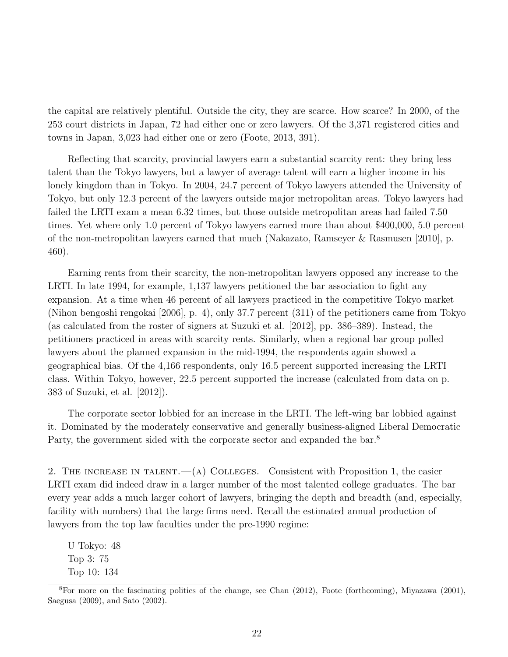the capital are relatively plentiful. Outside the city, they are scarce. How scarce? In 2000, of the 253 court districts in Japan, 72 had either one or zero lawyers. Of the 3,371 registered cities and towns in Japan, 3,023 had either one or zero (Foote, 2013, 391).

Reflecting that scarcity, provincial lawyers earn a substantial scarcity rent: they bring less talent than the Tokyo lawyers, but a lawyer of average talent will earn a higher income in his lonely kingdom than in Tokyo. In 2004, 24.7 percent of Tokyo lawyers attended the University of Tokyo, but only 12.3 percent of the lawyers outside major metropolitan areas. Tokyo lawyers had failed the LRTI exam a mean 6.32 times, but those outside metropolitan areas had failed 7.50 times. Yet where only 1.0 percent of Tokyo lawyers earned more than about \$400,000, 5.0 percent of the non-metropolitan lawyers earned that much (Nakazato, Ramseyer & Rasmusen [2010], p. 460).

Earning rents from their scarcity, the non-metropolitan lawyers opposed any increase to the LRTI. In late 1994, for example, 1,137 lawyers petitioned the bar association to fight any expansion. At a time when 46 percent of all lawyers practiced in the competitive Tokyo market (Nihon bengoshi rengokai [2006], p. 4), only 37.7 percent (311) of the petitioners came from Tokyo (as calculated from the roster of signers at Suzuki et al. [2012], pp. 386–389). Instead, the petitioners practiced in areas with scarcity rents. Similarly, when a regional bar group polled lawyers about the planned expansion in the mid-1994, the respondents again showed a geographical bias. Of the 4,166 respondents, only 16.5 percent supported increasing the LRTI class. Within Tokyo, however, 22.5 percent supported the increase (calculated from data on p. 383 of Suzuki, et al. [2012]).

The corporate sector lobbied for an increase in the LRTI. The left-wing bar lobbied against it. Dominated by the moderately conservative and generally business-aligned Liberal Democratic Party, the government sided with the corporate sector and expanded the bar.<sup>[8](#page-22-0)</sup>

2. THE INCREASE IN TALENT.— $(A)$  COLLEGES. Consistent with Proposition 1, the easier LRTI exam did indeed draw in a larger number of the most talented college graduates. The bar every year adds a much larger cohort of lawyers, bringing the depth and breadth (and, especially, facility with numbers) that the large firms need. Recall the estimated annual production of lawyers from the top law faculties under the pre-1990 regime:

U Tokyo: 48 Top 3: 75 Top 10: 134

<span id="page-22-0"></span><sup>8</sup>For more on the fascinating politics of the change, see Chan (2012), Foote (forthcoming), Miyazawa (2001), Saegusa (2009), and Sato (2002).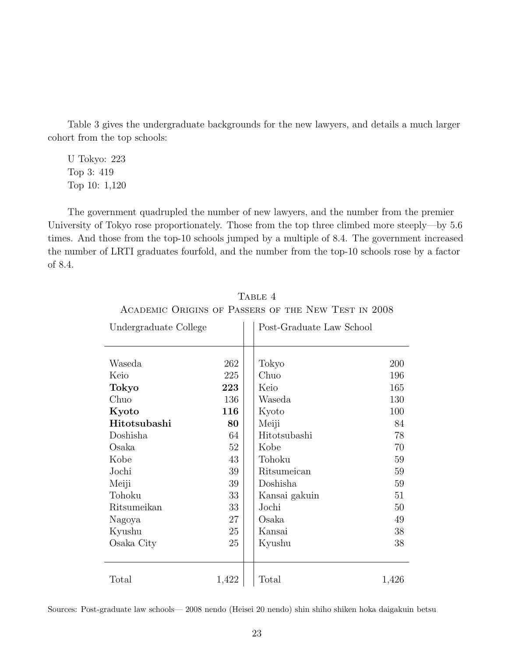Table 3 gives the undergraduate backgrounds for the new lawyers, and details a much larger cohort from the top schools:

U Tokyo: 223 Top 3: 419 Top 10: 1,120

The government quadrupled the number of new lawyers, and the number from the premier University of Tokyo rose proportionately. Those from the top three climbed more steeply—by 5.6 times. And those from the top-10 schools jumped by a multiple of 8.4. The government increased the number of LRTI graduates fourfold, and the number from the top-10 schools rose by a factor of 8.4.

| Undergraduate College |       | Post-Graduate Law School |       |  |  |
|-----------------------|-------|--------------------------|-------|--|--|
|                       |       |                          |       |  |  |
| Waseda                | 262   | Tokyo                    | 200   |  |  |
| Keio                  | 225   | Chuo                     | 196   |  |  |
| Tokyo                 | 223   | Keio                     | 165   |  |  |
| Chuo                  | 136   | Waseda                   | 130   |  |  |
| Kyoto                 | 116   | Kyoto                    | 100   |  |  |
| Hitotsubashi          | 80    | Meiji                    | 84    |  |  |
| Doshisha              | 64    | Hitotsubashi             | 78    |  |  |
| Osaka                 | 52    | Kobe                     | 70    |  |  |
| Kobe                  | 43    | Tohoku                   | 59    |  |  |
| Jochi                 | 39    | Ritsumeican              | 59    |  |  |
| Meiji                 | 39    | Doshisha                 | 59    |  |  |
| Tohoku                | 33    | Kansai gakuin            | 51    |  |  |
| Ritsumeikan           | 33    | Jochi                    | 50    |  |  |
| Nagoya                | 27    | Osaka                    | 49    |  |  |
| Kyushu                | 25    | Kansai                   | 38    |  |  |
| Osaka City            | 25    | Kyushu                   | 38    |  |  |
|                       |       |                          |       |  |  |
| Total                 | 1,422 | Total                    | 1,426 |  |  |

TABLE 4 Academic Origins of Passers of the New Test in 2008

Sources: Post-graduate law schools— 2008 nendo (Heisei 20 nendo) shin shiho shiken hoka daigakuin betsu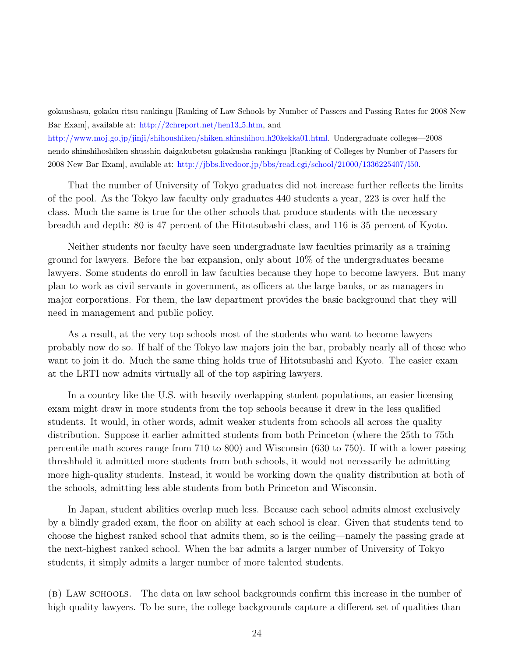gokaushasu, gokaku ritsu rankingu [Ranking of Law Schools by Number of Passers and Passing Rates for 2008 New Bar Exam], available at: [http://2chreport.net/hen13]( http://2chreport.net/hen13_5.htm) 5.htm, and [http://www.moj.go.jp/jinji/shihoushiken/shiken]( http://www.moj.go.jp/jinji/shihoushiken/shiken_shinshihou_h20kekka01.html) shinshihou h20kekka01.html. Undergraduate colleges—2008 nendo shinshihoshiken shusshin daigakubetsu gokakusha rankingu [Ranking of Colleges by Number of Passers for 2008 New Bar Exam], available at: [http://jbbs.livedoor.jp/bbs/read.cgi/school/21000/1336225407/l50.]( http://jbbs.livedoor.jp/bbs/read.cgi/school/21000/1336225407/l50)

That the number of University of Tokyo graduates did not increase further reflects the limits of the pool. As the Tokyo law faculty only graduates 440 students a year, 223 is over half the class. Much the same is true for the other schools that produce students with the necessary breadth and depth: 80 is 47 percent of the Hitotsubashi class, and 116 is 35 percent of Kyoto.

Neither students nor faculty have seen undergraduate law faculties primarily as a training ground for lawyers. Before the bar expansion, only about 10% of the undergraduates became lawyers. Some students do enroll in law faculties because they hope to become lawyers. But many plan to work as civil servants in government, as officers at the large banks, or as managers in major corporations. For them, the law department provides the basic background that they will need in management and public policy.

As a result, at the very top schools most of the students who want to become lawyers probably now do so. If half of the Tokyo law majors join the bar, probably nearly all of those who want to join it do. Much the same thing holds true of Hitotsubashi and Kyoto. The easier exam at the LRTI now admits virtually all of the top aspiring lawyers.

In a country like the U.S. with heavily overlapping student populations, an easier licensing exam might draw in more students from the top schools because it drew in the less qualified students. It would, in other words, admit weaker students from schools all across the quality distribution. Suppose it earlier admitted students from both Princeton (where the 25th to 75th percentile math scores range from 710 to 800) and Wisconsin (630 to 750). If with a lower passing threshhold it admitted more students from both schools, it would not necessarily be admitting more high-quality students. Instead, it would be working down the quality distribution at both of the schools, admitting less able students from both Princeton and Wisconsin.

In Japan, student abilities overlap much less. Because each school admits almost exclusively by a blindly graded exam, the floor on ability at each school is clear. Given that students tend to choose the highest ranked school that admits them, so is the ceiling—namely the passing grade at the next-highest ranked school. When the bar admits a larger number of University of Tokyo students, it simply admits a larger number of more talented students.

(b) Law schools. The data on law school backgrounds confirm this increase in the number of high quality lawyers. To be sure, the college backgrounds capture a different set of qualities than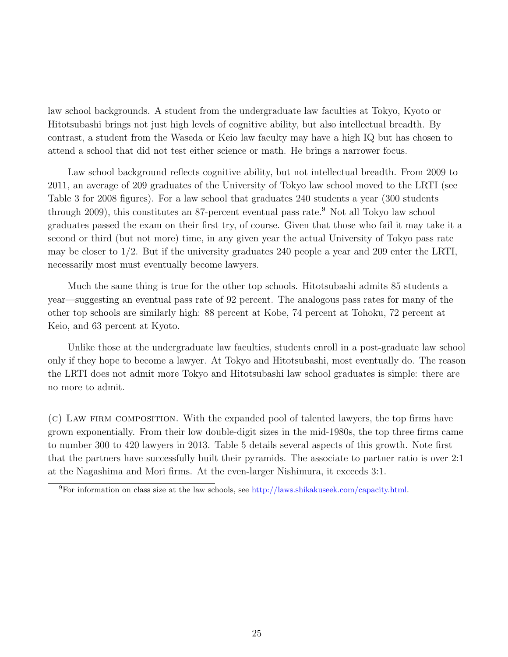law school backgrounds. A student from the undergraduate law faculties at Tokyo, Kyoto or Hitotsubashi brings not just high levels of cognitive ability, but also intellectual breadth. By contrast, a student from the Waseda or Keio law faculty may have a high IQ but has chosen to attend a school that did not test either science or math. He brings a narrower focus.

Law school background reflects cognitive ability, but not intellectual breadth. From 2009 to 2011, an average of 209 graduates of the University of Tokyo law school moved to the LRTI (see Table 3 for 2008 figures). For a law school that graduates 240 students a year (300 students through 2009), this constitutes an 87-percent eventual pass rate.[9](#page-25-0) Not all Tokyo law school graduates passed the exam on their first try, of course. Given that those who fail it may take it a second or third (but not more) time, in any given year the actual University of Tokyo pass rate may be closer to 1/2. But if the university graduates 240 people a year and 209 enter the LRTI, necessarily most must eventually become lawyers.

Much the same thing is true for the other top schools. Hitotsubashi admits 85 students a year—suggesting an eventual pass rate of 92 percent. The analogous pass rates for many of the other top schools are similarly high: 88 percent at Kobe, 74 percent at Tohoku, 72 percent at Keio, and 63 percent at Kyoto.

Unlike those at the undergraduate law faculties, students enroll in a post-graduate law school only if they hope to become a lawyer. At Tokyo and Hitotsubashi, most eventually do. The reason the LRTI does not admit more Tokyo and Hitotsubashi law school graduates is simple: there are no more to admit.

(c) Law firm composition. With the expanded pool of talented lawyers, the top firms have grown exponentially. From their low double-digit sizes in the mid-1980s, the top three firms came to number 300 to 420 lawyers in 2013. Table 5 details several aspects of this growth. Note first that the partners have successfully built their pyramids. The associate to partner ratio is over 2:1 at the Nagashima and Mori firms. At the even-larger Nishimura, it exceeds 3:1.

<span id="page-25-0"></span><sup>9</sup>For information on class size at the law schools, see [http://laws.shikakuseek.com/capacity.html.]( http://laws.shikakuseek.com/capacity.html)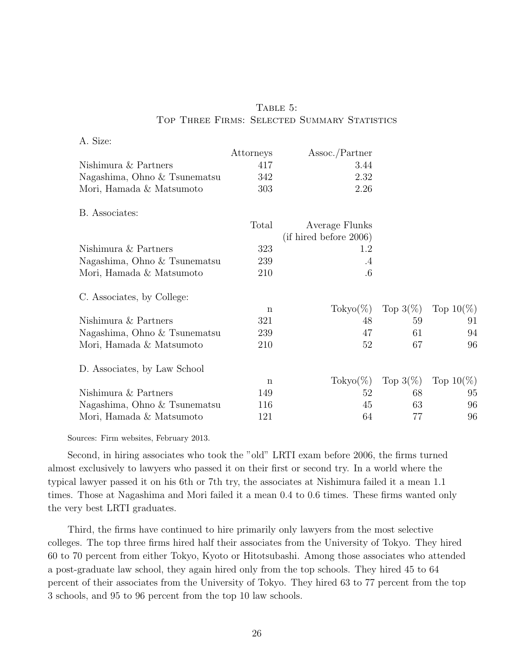| A. Size:                     |             |                         |             |              |
|------------------------------|-------------|-------------------------|-------------|--------------|
|                              | Attorneys   | $\lambda$ ssoc./Partner |             |              |
| Nishimura & Partners         | 417         | 3.44                    |             |              |
| Nagashima, Ohno & Tsunematsu | 342         | 2.32                    |             |              |
| Mori, Hamada & Matsumoto     | 303         | 2.26                    |             |              |
| B. Associates:               |             |                         |             |              |
|                              | Total       | Average Flunks          |             |              |
|                              |             | (if hired before 2006)  |             |              |
| Nishimura & Partners         | 323         | 1.2                     |             |              |
| Nagashima, Ohno & Tsunematsu | 239         | $.4\,$                  |             |              |
| Mori, Hamada & Matsumoto     | 210         | $.6\phantom{0}$         |             |              |
| C. Associates, by College:   |             |                         |             |              |
|                              | n           | $\text{Tokyo}(\%)$      | Top $3(\%)$ | Top $10(\%)$ |
| Nishimura & Partners         | 321         | 48                      | 59          | 91           |
| Nagashima, Ohno & Tsunematsu | 239         | 47                      | 61          | 94           |
| Mori, Hamada & Matsumoto     | 210         | 52                      | 67          | 96           |
| D. Associates, by Law School |             |                         |             |              |
|                              | $\mathbf n$ | $\text{Tokyo}(\%)$      | Top $3(\%)$ | Top $10(\%)$ |
| Nishimura & Partners         | 149         | 52                      | 68          | 95           |
| Nagashima, Ohno & Tsunematsu | 116         | 45                      | 63          | 96           |
| Mori, Hamada & Matsumoto     | 121         | 64                      | 77          | 96           |

# TABLE 5: TOP THREE FIRMS: SELECTED SUMMARY STATISTICS

Sources: Firm websites, February 2013.

Second, in hiring associates who took the "old" LRTI exam before 2006, the firms turned almost exclusively to lawyers who passed it on their first or second try. In a world where the typical lawyer passed it on his 6th or 7th try, the associates at Nishimura failed it a mean 1.1 times. Those at Nagashima and Mori failed it a mean 0.4 to 0.6 times. These firms wanted only the very best LRTI graduates.

Third, the firms have continued to hire primarily only lawyers from the most selective colleges. The top three firms hired half their associates from the University of Tokyo. They hired 60 to 70 percent from either Tokyo, Kyoto or Hitotsubashi. Among those associates who attended a post-graduate law school, they again hired only from the top schools. They hired 45 to 64 percent of their associates from the University of Tokyo. They hired 63 to 77 percent from the top 3 schools, and 95 to 96 percent from the top 10 law schools.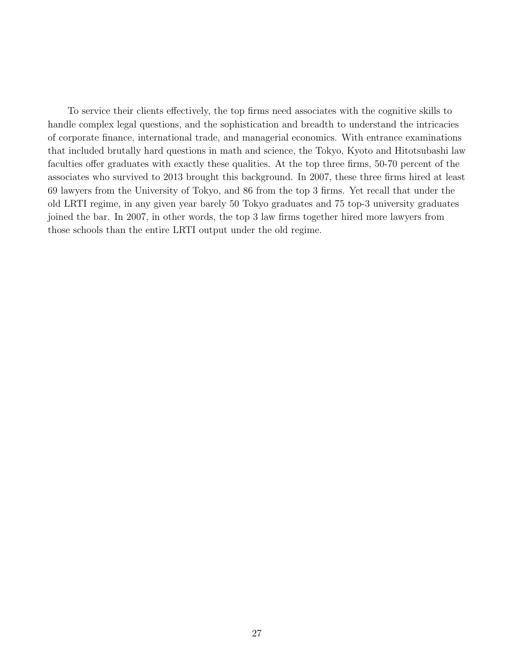To service their clients effectively, the top firms need associates with the cognitive skills to handle complex legal questions, and the sophistication and breadth to understand the intricacies of corporate finance, international trade, and managerial economics. With entrance examinations that included brutally hard questions in math and science, the Tokyo, Kyoto and Hitotsubashi law faculties offer graduates with exactly these qualities. At the top three firms, 50-70 percent of the associates who survived to 2013 brought this background. In 2007, these three firms hired at least 69 lawyers from the University of Tokyo, and 86 from the top 3 firms. Yet recall that under the old LRTI regime, in any given year barely 50 Tokyo graduates and 75 top-3 university graduates joined the bar. In 2007, in other words, the top 3 law firms together hired more lawyers from those schools than the entire LRTI output under the old regime.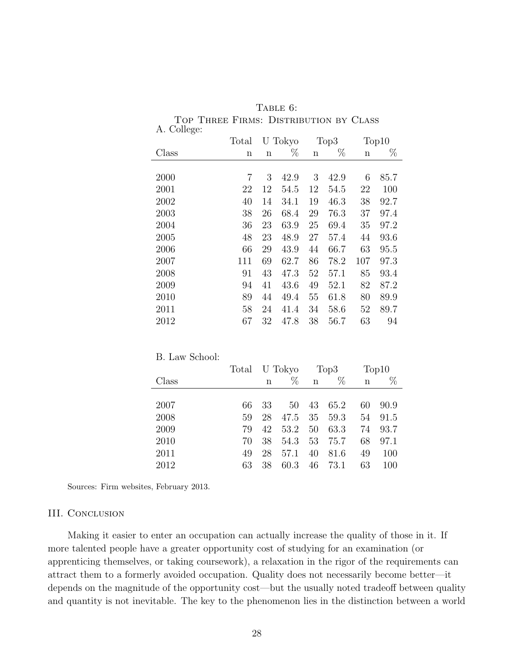| A. College: |       |             |      |      |      |     |       |
|-------------|-------|-------------|------|------|------|-----|-------|
|             | Total | U Tokyo     |      | Top3 |      |     | Top10 |
| Class       | n     | $\mathbf n$ | $\%$ | n    | $\%$ | n   | $\%$  |
|             |       |             |      |      |      |     |       |
| 2000        | 7     | 3           | 42.9 | 3    | 42.9 | 6   | 85.7  |
| 2001        | 22    | 12          | 54.5 | 12   | 54.5 | 22  | 100   |
| 2002        | 40    | 14          | 34.1 | 19   | 46.3 | 38  | 92.7  |
| 2003        | 38    | 26          | 68.4 | 29   | 76.3 | 37  | 97.4  |
| 2004        | 36    | 23          | 63.9 | 25   | 69.4 | 35  | 97.2  |
| 2005        | 48    | 23          | 48.9 | 27   | 57.4 | 44  | 93.6  |
| 2006        | 66    | 29          | 43.9 | 44   | 66.7 | 63  | 95.5  |
| 2007        | 111   | 69          | 62.7 | 86   | 78.2 | 107 | 97.3  |
| 2008        | 91    | 43          | 47.3 | 52   | 57.1 | 85  | 93.4  |
| 2009        | 94    | 41          | 43.6 | 49   | 52.1 | 82  | 87.2  |
| 2010        | 89    | 44          | 49.4 | 55   | 61.8 | 80  | 89.9  |
| 2011        | 58    | 24          | 41.4 | 34   | 58.6 | 52  | 89.7  |
| 2012        | 67    | 32          | 47.8 | 38   | 56.7 | 63  | 94    |

| TABLE 6: |  |
|----------|--|
|----------|--|

Top Three Firms: Distribution by Class A. College:

| B. Law School: |       |             |         |    |                  |    |       |
|----------------|-------|-------------|---------|----|------------------|----|-------|
|                | Total |             | U Tokyo |    | Top <sub>3</sub> |    | Top10 |
| Class          |       | $\mathbf n$ | %       | n  | $\%$             | n  | $\%$  |
|                |       |             |         |    |                  |    |       |
| 2007           | 66    | 33          | 50      | 43 | 65.2             | 60 | 90.9  |
| 2008           | 59    | 28          | 47.5    | 35 | 59.3             | 54 | 91.5  |
| 2009           | 79    | 42          | 53.2    | 50 | 63.3             | 74 | 93.7  |
| 2010           | 70    | 38          | 54.3    | 53 | 75.7             | 68 | 97.1  |
| 2011           | 49    | 28          | 57.1    | 40 | 81.6             | 49 | 100   |
| 2012           | 63    | 38          | 60.3    | 46 | 73.1             | 63 | 100   |

Sources: Firm websites, February 2013.

### III. Conclusion

Making it easier to enter an occupation can actually increase the quality of those in it. If more talented people have a greater opportunity cost of studying for an examination (or apprenticing themselves, or taking coursework), a relaxation in the rigor of the requirements can attract them to a formerly avoided occupation. Quality does not necessarily become better—it depends on the magnitude of the opportunity cost—but the usually noted tradeoff between quality and quantity is not inevitable. The key to the phenomenon lies in the distinction between a world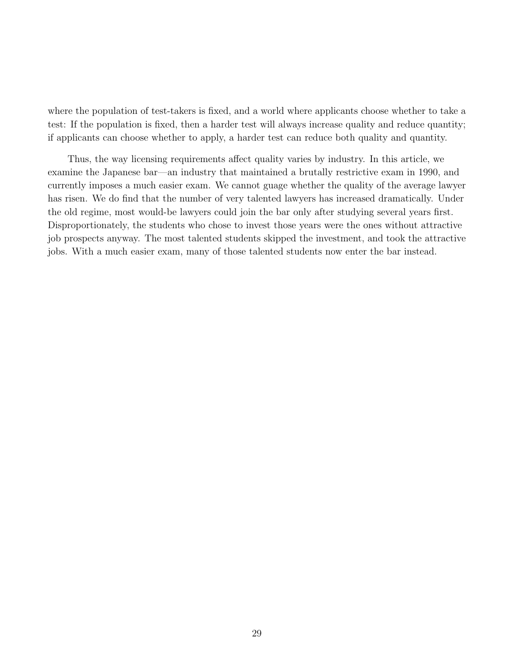where the population of test-takers is fixed, and a world where applicants choose whether to take a test: If the population is fixed, then a harder test will always increase quality and reduce quantity; if applicants can choose whether to apply, a harder test can reduce both quality and quantity.

Thus, the way licensing requirements affect quality varies by industry. In this article, we examine the Japanese bar—an industry that maintained a brutally restrictive exam in 1990, and currently imposes a much easier exam. We cannot guage whether the quality of the average lawyer has risen. We do find that the number of very talented lawyers has increased dramatically. Under the old regime, most would-be lawyers could join the bar only after studying several years first. Disproportionately, the students who chose to invest those years were the ones without attractive job prospects anyway. The most talented students skipped the investment, and took the attractive jobs. With a much easier exam, many of those talented students now enter the bar instead.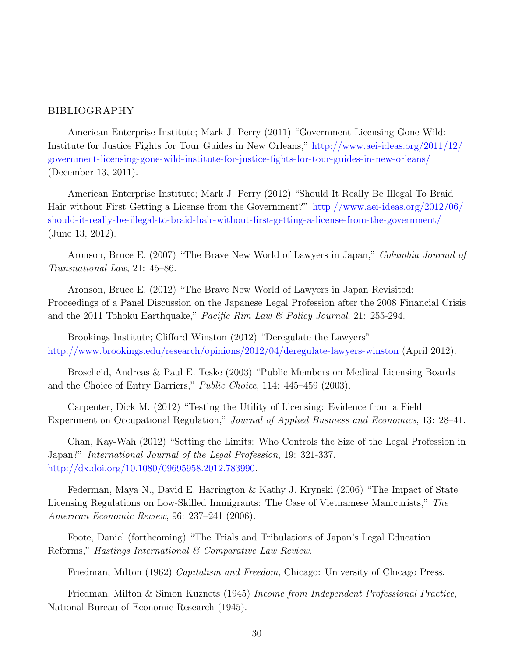### BIBLIOGRAPHY

American Enterprise Institute; Mark J. Perry (2011) "Government Licensing Gone Wild: Institute for Justice Fights for Tour Guides in New Orleans," [http://www.aei-ideas.org/2011/12/](http://www.aei-ideas.org/2011/12/government-licensing-gone-wild-institute-for-justice-fights- for-tour-guides-in-new-orleans/) [government-licensing-gone-wild-institute-for-justice-fights-for-tour-guides-in-new-orleans/](http://www.aei-ideas.org/2011/12/government-licensing-gone-wild-institute-for-justice-fights- for-tour-guides-in-new-orleans/) (December 13, 2011).

American Enterprise Institute; Mark J. Perry (2012) "Should It Really Be Illegal To Braid Hair without First Getting a License from the Government?" [http://www.aei-ideas.org/2012/06/](http://www.aei-ideas.org/2012/06/should-it-really-be-illegal-to- braid-hair-without-first-getting-a-license-from-the-government/) [should-it-really-be-illegal-to-braid-hair-without-first-getting-a-license-from-the-government/](http://www.aei-ideas.org/2012/06/should-it-really-be-illegal-to- braid-hair-without-first-getting-a-license-from-the-government/) (June 13, 2012).

Aronson, Bruce E. (2007) "The Brave New World of Lawyers in Japan," Columbia Journal of Transnational Law, 21: 45–86.

Aronson, Bruce E. (2012) "The Brave New World of Lawyers in Japan Revisited: Proceedings of a Panel Discussion on the Japanese Legal Profession after the 2008 Financial Crisis and the 2011 Tohoku Earthquake," Pacific Rim Law & Policy Journal, 21: 255-294.

Brookings Institute; Clifford Winston (2012) "Deregulate the Lawyers" [http://www.brookings.edu/research/opinions/2012/04/deregulate-lawyers-winston](http://www.brookings.edu/research/opinions/2012/04/deregulate- lawyers-winston) (April 2012).

Broscheid, Andreas & Paul E. Teske (2003) "Public Members on Medical Licensing Boards and the Choice of Entry Barriers," Public Choice, 114: 445–459 (2003).

Carpenter, Dick M. (2012) "Testing the Utility of Licensing: Evidence from a Field Experiment on Occupational Regulation," Journal of Applied Business and Economics, 13: 28–41.

Chan, Kay-Wah (2012) "Setting the Limits: Who Controls the Size of the Legal Profession in Japan?" International Journal of the Legal Profession, 19: 321-337. [http://dx.doi.org/10.1080/09695958.2012.783990.](http://dx.doi.org/10.1080/09695958.2012.783990)

Federman, Maya N., David E. Harrington & Kathy J. Krynski (2006) "The Impact of State Licensing Regulations on Low-Skilled Immigrants: The Case of Vietnamese Manicurists," The American Economic Review, 96: 237–241 (2006).

Foote, Daniel (forthcoming) "The Trials and Tribulations of Japan's Legal Education Reforms," Hastings International & Comparative Law Review.

Friedman, Milton (1962) Capitalism and Freedom, Chicago: University of Chicago Press.

Friedman, Milton & Simon Kuznets (1945) Income from Independent Professional Practice, National Bureau of Economic Research (1945).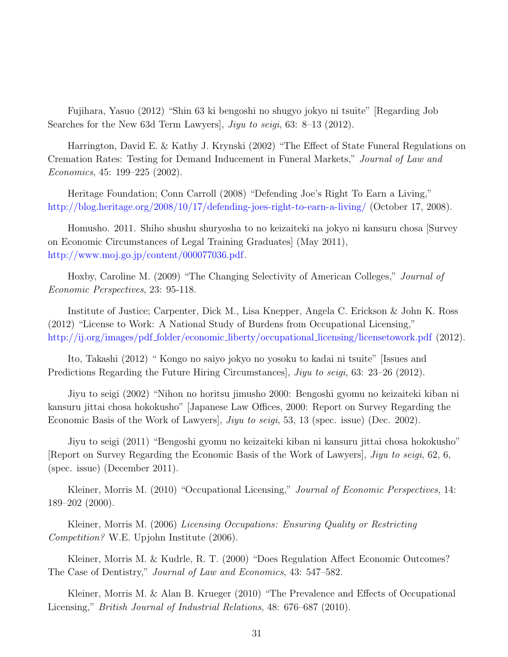Fujihara, Yasuo (2012) "Shin 63 ki bengoshi no shugyo jokyo ni tsuite" [Regarding Job Searches for the New 63d Term Lawyers, *Jiyu to seigi*, 63: 8–13 (2012).

Harrington, David E. & Kathy J. Krynski (2002) "The Effect of State Funeral Regulations on Cremation Rates: Testing for Demand Inducement in Funeral Markets," Journal of Law and Economics, 45: 199–225 (2002).

Heritage Foundation; Conn Carroll (2008) "Defending Joe's Right To Earn a Living," <http://blog.heritage.org/2008/10/17/defending-joes-right-to-earn-a-living/> (October 17, 2008).

Homusho. 2011. Shiho shushu shuryosha to no keizaiteki na jokyo ni kansuru chosa [Survey on Economic Circumstances of Legal Training Graduates] (May 2011), [http://www.moj.go.jp/content/000077036.pdf.]( http://www.moj.go.jp/content/000077036.pdf)

Hoxby, Caroline M. (2009) "The Changing Selectivity of American Colleges," Journal of Economic Perspectives, 23: 95-118.

Institute of Justice; Carpenter, Dick M., Lisa Knepper, Angela C. Erickson & John K. Ross (2012) "License to Work: A National Study of Burdens from Occupational Licensing," http://ij.org/images/pdf\_folder/economic\_liberty/occupational\_[licensing/licensetowork.pdf](http://ij.org/images/pdf_folder/economic_liberty/occupational_licensing/licensetowork.pdf) (2012).

Ito, Takashi (2012) " Kongo no saiyo jokyo no yosoku to kadai ni tsuite" [Issues and Predictions Regarding the Future Hiring Circumstances, Jiyu to seigi, 63: 23–26 (2012).

Jiyu to seigi (2002) "Nihon no horitsu jimusho 2000: Bengoshi gyomu no keizaiteki kiban ni kansuru jittai chosa hokokusho" [Japanese Law Offices, 2000: Report on Survey Regarding the Economic Basis of the Work of Lawyers, *Jiyu to seigi*, 53, 13 (spec. issue) (Dec. 2002).

Jiyu to seigi (2011) "Bengoshi gyomu no keizaiteki kiban ni kansuru jittai chosa hokokusho" [Report on Survey Regarding the Economic Basis of the Work of Lawyers], Jiyu to seigi, 62, 6, (spec. issue) (December 2011).

Kleiner, Morris M. (2010) "Occupational Licensing," Journal of Economic Perspectives, 14: 189–202 (2000).

Kleiner, Morris M. (2006) Licensing Occupations: Ensuring Quality or Restricting Competition? W.E. Upjohn Institute (2006).

Kleiner, Morris M. & Kudrle, R. T. (2000) "Does Regulation Affect Economic Outcomes? The Case of Dentistry," Journal of Law and Economics, 43: 547–582.

Kleiner, Morris M. & Alan B. Krueger (2010) "The Prevalence and Effects of Occupational Licensing," British Journal of Industrial Relations, 48: 676–687 (2010).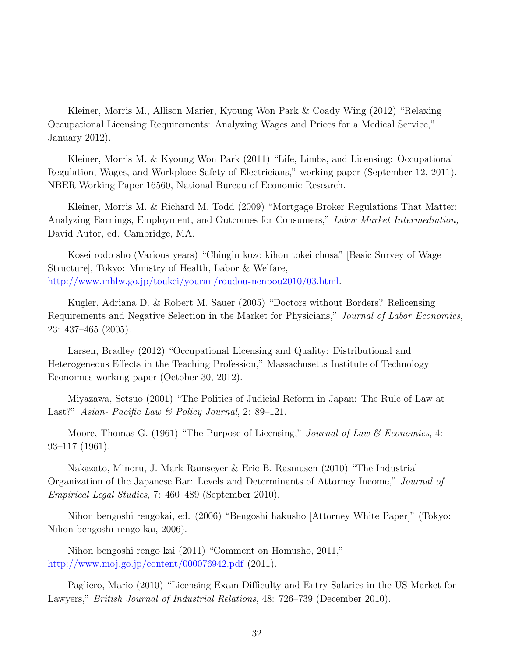Kleiner, Morris M., Allison Marier, Kyoung Won Park & Coady Wing (2012) "Relaxing Occupational Licensing Requirements: Analyzing Wages and Prices for a Medical Service," January 2012).

Kleiner, Morris M. & Kyoung Won Park (2011) "Life, Limbs, and Licensing: Occupational Regulation, Wages, and Workplace Safety of Electricians," working paper (September 12, 2011). NBER Working Paper 16560, National Bureau of Economic Research.

Kleiner, Morris M. & Richard M. Todd (2009) "Mortgage Broker Regulations That Matter: Analyzing Earnings, Employment, and Outcomes for Consumers," Labor Market Intermediation, David Autor, ed. Cambridge, MA.

Kosei rodo sho (Various years) "Chingin kozo kihon tokei chosa" [Basic Survey of Wage Structure], Tokyo: Ministry of Health, Labor & Welfare, [http://www.mhlw.go.jp/toukei/youran/roudou-nenpou2010/03.html.](http://www.mhlw.go.jp/toukei/youran/roudou-nenpou2010/03.html)

Kugler, Adriana D. & Robert M. Sauer (2005) "Doctors without Borders? Relicensing Requirements and Negative Selection in the Market for Physicians," Journal of Labor Economics, 23: 437–465 (2005).

Larsen, Bradley (2012) "Occupational Licensing and Quality: Distributional and Heterogeneous Effects in the Teaching Profession," Massachusetts Institute of Technology Economics working paper (October 30, 2012).

Miyazawa, Setsuo (2001) "The Politics of Judicial Reform in Japan: The Rule of Law at Last?" Asian- Pacific Law & Policy Journal, 2: 89–121.

Moore, Thomas G. (1961) "The Purpose of Licensing," *Journal of Law & Economics*, 4: 93–117 (1961).

Nakazato, Minoru, J. Mark Ramseyer & Eric B. Rasmusen (2010) "The Industrial Organization of the Japanese Bar: Levels and Determinants of Attorney Income," Journal of Empirical Legal Studies, 7: 460–489 (September 2010).

Nihon bengoshi rengokai, ed. (2006) "Bengoshi hakusho [Attorney White Paper]" (Tokyo: Nihon bengoshi rengo kai, 2006).

Nihon bengoshi rengo kai (2011) "Comment on Homusho, 2011," <http://www.moj.go.jp/content/000076942.pdf> (2011).

Pagliero, Mario (2010) "Licensing Exam Difficulty and Entry Salaries in the US Market for Lawyers," British Journal of Industrial Relations, 48: 726–739 (December 2010).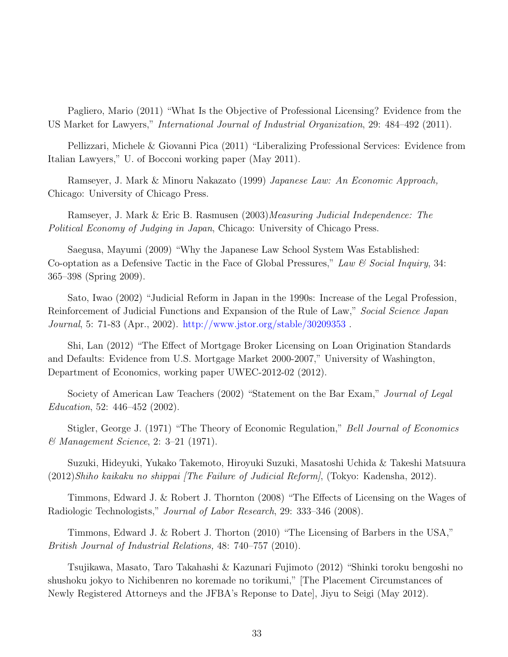Pagliero, Mario (2011) "What Is the Objective of Professional Licensing? Evidence from the US Market for Lawyers," International Journal of Industrial Organization, 29: 484–492 (2011).

Pellizzari, Michele & Giovanni Pica (2011) "Liberalizing Professional Services: Evidence from Italian Lawyers," U. of Bocconi working paper (May 2011).

Ramseyer, J. Mark & Minoru Nakazato (1999) Japanese Law: An Economic Approach, Chicago: University of Chicago Press.

Ramseyer, J. Mark & Eric B. Rasmusen (2003)*Measuring Judicial Independence: The* Political Economy of Judging in Japan, Chicago: University of Chicago Press.

Saegusa, Mayumi (2009) "Why the Japanese Law School System Was Established: Co-optation as a Defensive Tactic in the Face of Global Pressures," Law & Social Inquiry, 34: 365–398 (Spring 2009).

Sato, Iwao (2002) "Judicial Reform in Japan in the 1990s: Increase of the Legal Profession, Reinforcement of Judicial Functions and Expansion of the Rule of Law," Social Science Japan Journal, 5: 71-83 (Apr., 2002). [http://www.jstor.org/stable/30209353]( http://www.jstor.org/stable/30209353) .

Shi, Lan (2012) "The Effect of Mortgage Broker Licensing on Loan Origination Standards and Defaults: Evidence from U.S. Mortgage Market 2000-2007," University of Washington, Department of Economics, working paper UWEC-2012-02 (2012).

Society of American Law Teachers (2002) "Statement on the Bar Exam," *Journal of Legal* Education, 52: 446–452 (2002).

Stigler, George J. (1971) "The Theory of Economic Regulation," *Bell Journal of Economics* & Management Science, 2: 3–21 (1971).

Suzuki, Hideyuki, Yukako Takemoto, Hiroyuki Suzuki, Masatoshi Uchida & Takeshi Matsuura (2012)Shiho kaikaku no shippai [The Failure of Judicial Reform], (Tokyo: Kadensha, 2012).

Timmons, Edward J. & Robert J. Thornton (2008) "The Effects of Licensing on the Wages of Radiologic Technologists," Journal of Labor Research, 29: 333–346 (2008).

Timmons, Edward J. & Robert J. Thorton (2010) "The Licensing of Barbers in the USA," British Journal of Industrial Relations, 48: 740–757 (2010).

Tsujikawa, Masato, Taro Takahashi & Kazunari Fujimoto (2012) "Shinki toroku bengoshi no shushoku jokyo to Nichibenren no koremade no torikumi," [The Placement Circumstances of Newly Registered Attorneys and the JFBA's Reponse to Date], Jiyu to Seigi (May 2012).